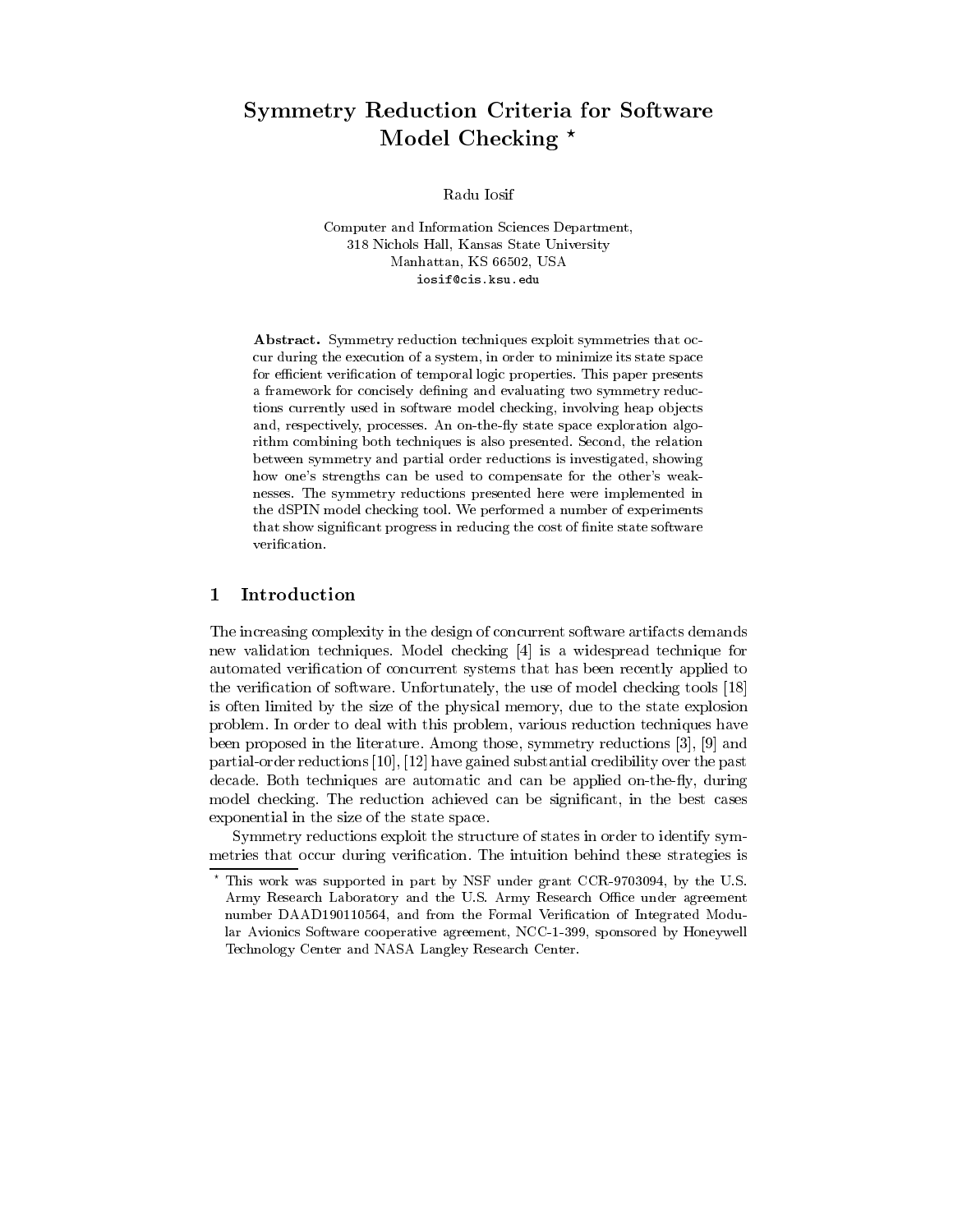# symmetry reduction criteria for Software for Software Criteria for Software Criteria for Software Criteria for Model Checking ?

Radu Iosif

Computer and Information Sciences Department, 318 Nichols Hall, Kansas State University Manhattan, KS 66502, USA iosif@cis.ksu.edu

Abstract. Symmetry reduction techniques exploit symmetries that occur during the execution of a system, in order to minimize its state space for efficient verification of temporal logic properties. This paper presents a framework for concisely defining and evaluating two symmetry reductions currently used in software model checking, involving heap objects and, respectively, processes. An on-the-fly state space exploration algorithm combining both techniques is also presented. Second, the relation between symmetry and partial order reductions is investigated, showing how one's strengths can be used to compensate for the other's weak nesses. The symmetry reductions presented here were implemented in the dSPIN model checking tool. We performed a number of experiments that show significant progress in reducing the cost of finite state software verification.

#### 1Introduction

The increasing complexity in the design of concurrent software artifacts demands new validation techniques. Model checking [4] is a widespread technique for automated verification of concurrent systems that has been recently applied to the verification of software. Unfortunately, the use of model checking tools [18] is often limited by the size of the physical memory, due to the state explosion problem. In order to deal with this problem, various reduction techniques have been proposed in the literature. Among those, symmetry reductions [3], [9] and partial-order reductions [10], [12] have gained substantial credibility over the past decade. Both techniques are automatic and can be applied on-the-fly, during model checking. The reduction achieved can be signicant, in the best cases exponential in the size of the state space.

Symmetry reductions exploit the structure of states in order to identify symmetries that occur during verification. The intuition behind these strategies is

<sup>.</sup> This work was supported in part by NSF under grant CCR-9703094, by the U.S.  $\,$ Army Research Laboratory and the U.S. Army Research Office under agreement number DAAD190110564, and from the Formal Verification of Integrated Modular Avionics Software cooperative agreement, NCC-1-399, sponsored by Honeywell Technology Center and NASA Langley Research Center.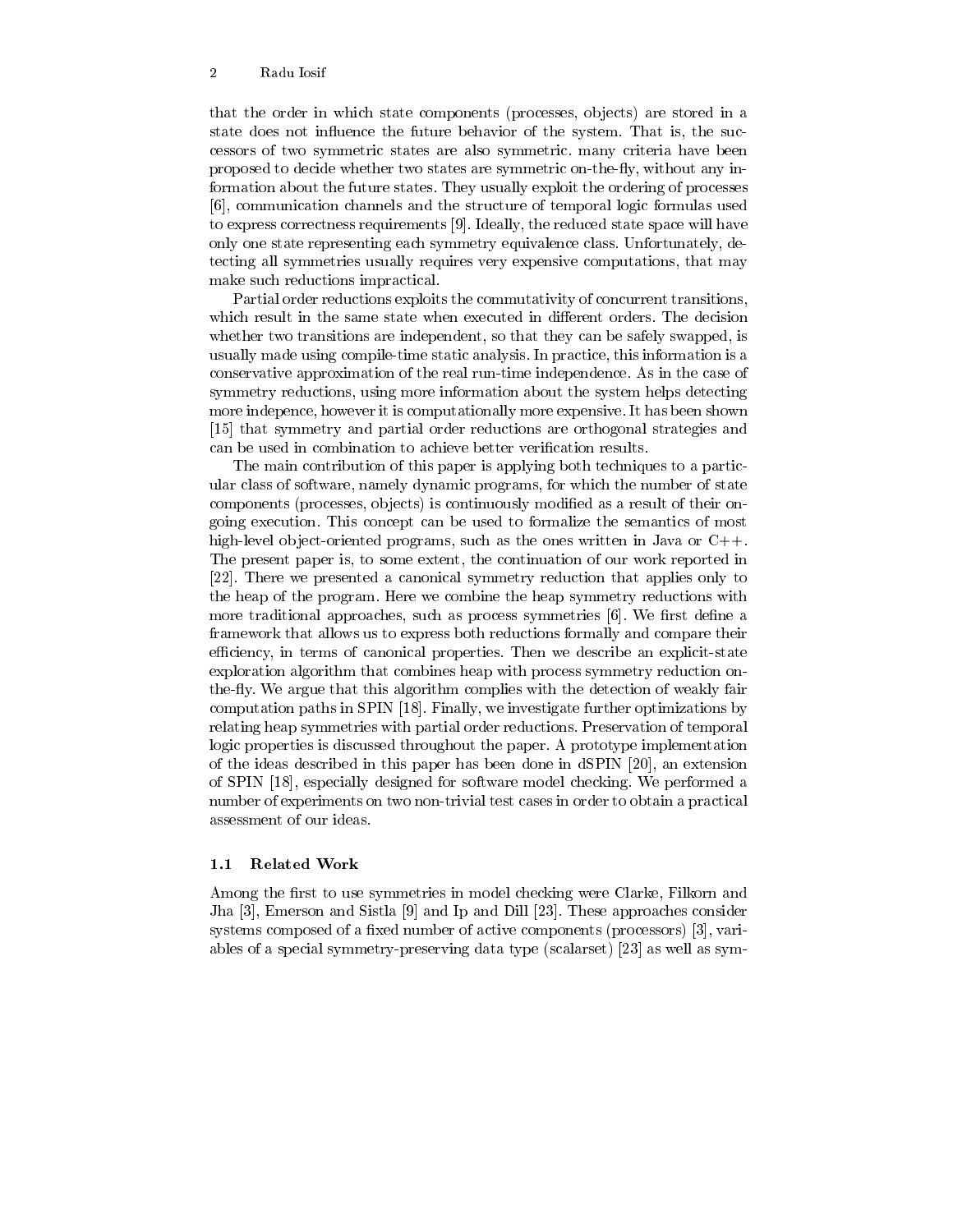that the order in which state components (processes, objects) are stored in a state does not influence the future behavior of the system. That is, the successors of two symmetric states are also symmetric. many criteria have been proposed to decide whether two states are symmetric on-the-fly, without any information about the future states. They usually exploit the ordering of processes [6], communication channels and the structure of temporal logic formulas used to express correctness requirements [9]. Ideally, the reduced state space will have only one state representing each symmetry equivalence class. Unfortunately, detecting all symmetries usually requires very expensive computations, that may make such reductions impractical.

Partial order reductions exploits the commutativity of concurrent transitions, which result in the same state when executed in different orders. The decision whether two transitions are independent, so that they can be safely swapped, is usually made using compile-time static analysis. In practice, this information is a conservative approximation of the real run-time independence. As in the case of symmetry reductions, using more information about the system helps detecting more indepence, however it is computationally more expensive. It has been shown [15] that symmetry and partial order reductions are orthogonal strategies and can be used in combination to achieve better verification results.

The main contribution of this paper is applying both techniques to a particular class of software, namely dynamic programs, for which the number of state components (processes, objects) is continuously modified as a result of their ongoing execution. This concept can be used to formalize the semantics of most high-level object-oriented programs, such as the ones written in Java or  $C++$ . The present paper is, to some extent, the continuation of our work reported in [22]. There we presented a canonical symmetry reduction that applies only to the heap of the program. Here we combine the heap symmetry reductions with more traditional approaches, such as process symmetries  $[6]$ . We first define a framework that allows us to express both reductions formally and compare their efficiency, in terms of canonical properties. Then we describe an explicit-state exploration algorithm that combines heap with process symmetry reduction onthe-fly. We argue that this algorithm complies with the detection of weakly fair computation paths in SPIN [18]. Finally, we investigate further optimizations by relating heap symmetries with partial order reductions. Preservation of temporal logic properties is discussed throughout the paper. A prototype implementation of the ideas described in this paper has been done in dSPIN [20], an extension of SPIN [18], especially designed for software model checking. We performed a number of experiments on two non-trivial test cases in order to obtain a practical assessment of our ideas.

### 1.1 Related Work

Among the first to use symmetries in model checking were Clarke, Filkorn and Jha [3], Emerson and Sistla [9] and Ip and Dill [23]. These approaches consider systems composed of a fixed number of active components (processors) [3], variables of a special symmetry-preserving data type (scalarset) [23] as well as sym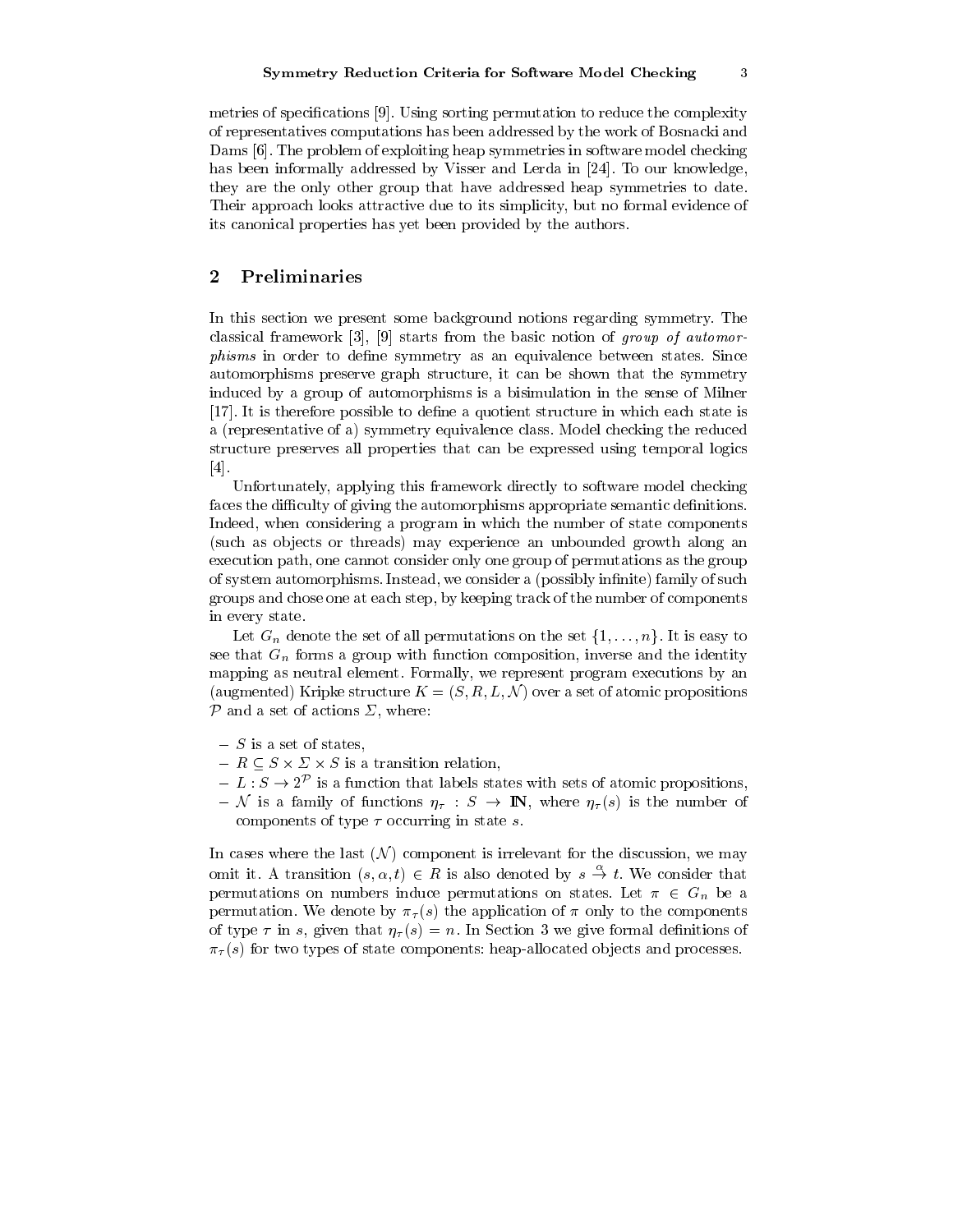metries of specications [9]. Using sorting permutation to reduce the complexity of representatives computations has been addressed by the work of Bosnacki and Dams [6]. The problem of exploiting heap symmetries in software model checking has been informally addressed by Visser and Lerda in [24]. To our knowledge, they are the only other group that have addressed heap symmetries to date. Their approach looks attractive due to its simplicity, but no formal evidence of its canonical properties has yet been provided by the authors.

#### $\overline{2}$ Preliminaries

In this section we present some background notions regarding symmetry. The classical framework [3], [9] starts from the basic notion of group of automor*phisms* in order to define symmetry as an equivalence between states. Since automorphisms preserve graph structure, it can be shown that the symmetry induced by a group of automorphisms is a bisimulation in the sense of Milner [17]. It is therefore possible to define a quotient structure in which each state is a (representative of a) symmetry equivalence class. Model checking the reduced structure preserves all properties that can be expressed using temporal logics [4].

Unfortunately, applying this framework directly to software model checking faces the difficulty of giving the automorphisms appropriate semantic definitions. Indeed, when considering a program in which the number of state components (such as ob jects or threads) may experience an unbounded growth along an execution path, one cannot consider only one group of permutations as the group of system automorphisms. Instead, we consider a (possibly infinite) family of such groups and chose one at each step, by keeping track of the number of components in every state.

Let  $G_n$  denote the set of all permutations on the set  $\{1,\ldots,n\}$ . It is easy to see that  $G_n$  forms a group with function composition, inverse and the identity mapping as neutral element. Formally, we represent program executions by an (augmented) Kripke structure  $K = (S, R, L, \mathcal{N})$  over a set of atomic propositions  $r$  and a set of actions  $\omega$ , where:

- $-$  S is a set of states,
- $= R \cup S \times Z \times T$  is a transition relation,
- ${\cal L}: S \to T$  is a function that labels states with sets of atomic propositions,
- $\mathcal{N}$  is a family of functions  $\eta_{\tau} : S \to \mathbb{N}$ , where  $\eta_{\tau}(s)$  is the number of components of type  $\tau$  occurring in state s.

In cases where the last  $(N)$  component is irrelevant for the discussion, we may omit it. A transition  $(s, \alpha, t) \in R$  is also denoted by  $s \stackrel{\alpha}{\to} t$ . We consider that permutations on numbers induce permutations on states. Let  $\pi \in G_n$  be a permutation. We denote by  $\pi_{\tau}(s)$  the application of  $\pi$  only to the components of type  $\tau$  in s, given that  $\eta_{\tau}(s) = n$ . In Section 3 we give formal definitions of  $\pi_{\tau}(s)$  for two types of state components: heap-allocated objects and processes.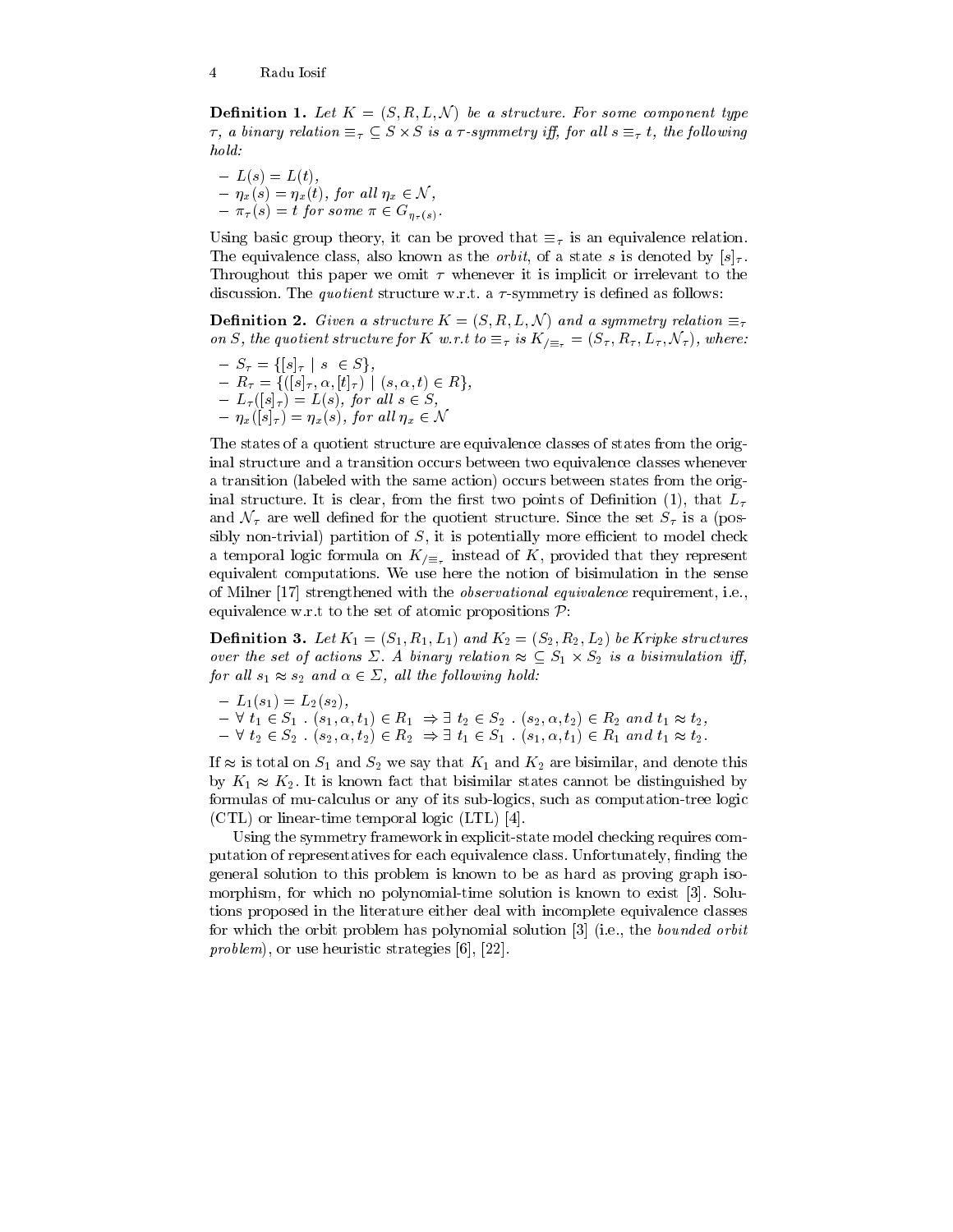**Definition 1.** Let  $K = (S, R, L, \mathcal{N})$  be a structure. For some component type *i*, a vinary relation  $\equiv_{\tau} \subseteq \cup \land \cup \land$  is a r-symmetry iff, for all s  $\equiv_{\tau}$  i, the following hold:

$$
- L(s) = L(t),
$$
  
\n
$$
- \eta_x(s) = \eta_x(t), \text{ for all } \eta_x \in \mathcal{N},
$$
  
\n
$$
- \pi_{\tau}(s) = t \text{ for some } \pi \in G_{\eta_{\tau}(s)}.
$$

Using basic group theory, it can be proved that  $\equiv_{\tau}$  is an equivalence relation. The equivalence class, also known as the *orbit*, of a state s is denoted by  $[s]_{\tau}$ . Throughout this paper we omit  $\tau$  whenever it is implicit or irrelevant to the discussion. The *quotient* structure w.r.t. a  $\tau$ -symmetry is defined as follows:

**Definition 2.** Given a structure  $K = (S, R, L, N)$  and a symmetry relation  $\equiv_{\tau}$ on S, the quotient structure for K w.r.t to  $\equiv_{\tau}$  is  $K_{/\equiv_{\tau}} = (S_{\tau}, R_{\tau}, L_{\tau}, \mathcal{N}_{\tau})$ , where:

 ${S}_{\tau} = \{ [s]_{\tau} \mid s \in S \},\$  $- \ R_{\tau} = \{([s]_{\tau}, \alpha, [t]_{\tau}) \ | \ (s, \alpha, t) \in R\},$  ${L \atop -L_\tau([s]_\tau)=L(s), \text{ for all } s \in S, \ -n_x([s]_\tau) = n_x(s), \text{ for all } n_x \in \mathcal{N}}$ 

The states of a quotient structure are equivalence classes of states from the original structure and a transition occurs between two equivalence classes whenever a transition (labeled with the same action) occurs between states from the original structure. It is clear, from the first two points of Definition (1), that  $L_{\tau}$ and  $\mathcal{N}_{\tau}$  are well defined for the quotient structure. Since the set  $S_{\tau}$  is a (possibly non-trivial) partition of  $S$ , it is potentially more efficient to model check a temporal logic formula on  $\pi_{/\equiv\tau}$  represent to they represent that they represent equivalent computations. We use here the notion of bisimulation in the sense of Milner [17] strengthened with the observational equivalence requirement, i.e., equivalence w.r.t to the set of atomic propositions  $P$ :

 $\mathcal{L}$  characters  $\mathcal{L}$  . Let  $\mathcal{L}$  be  $\mathcal{L}$  and  $\mathcal{L}$   $\mathcal{L}$   $\mathcal{L}$   $\mathcal{L}$   $\mathcal{L}$   $\mathcal{L}$   $\mathcal{L}$   $\mathcal{L}$   $\mathcal{L}$   $\mathcal{L}$   $\mathcal{L}$   $\mathcal{L}$   $\mathcal{L}$   $\mathcal{L}$   $\mathcal{L}$   $\mathcal{L}$   $\mathcal{L}$   $\mathcal{L}$ **Definition 3.** Let  $K_1 = (S_1, R_1, L_1)$  and  $K_2 = (S_2, R_2, L_2)$  be over the set of actions  $\Sigma$ . A binary relation  $\approx \subset S_1 \times S_2$  is a over the set of actions  $\Sigma$ . A binary relation  $\approx \subseteq S_1 \times S_2$  is a bisimulation iff, for all  $s_1 \approx s_2$  and  $\alpha \in \Sigma$ , all the following hold:

 $-I_1(s_1) = L_2(s_2),$  ${ }_ {L_1}(s_1) = {L_2}(s_2),$ <br>  $- \forall t_1 \in S_1$   $.$   $(s_1, \alpha, t_1) \in R_1$   $\Rightarrow \exists t_2 \in S_2$   $.$   $(s_2, \alpha, t_2) \in R_2$  and  $t_1 \approx t_2$ ,  ${\forall}$   ${\overrightarrow{t}}_1 \in S_1$  :  $(s_1, \alpha, t_1) \in R_1 \Rightarrow \exists t_2 \in S_2$  :  $(s_2, \alpha, t_2) \in R_2$  and  $t_1 \approx t_2$ ,<br>  ${\forall}$   $t_2 \in S_2$  :  $(s_2, \alpha, t_2) \in R_2 \Rightarrow \exists t_1 \in S_1$  :  $(s_1, \alpha, t_1) \in R_1$  and  $t_1 \approx t_2$ .

If  $\approx$  is total on  $S_1$  and  $S_2$  we say that  $K_1$  and  $K_2$  are bisimilar, and denote this by  $K_1 \approx K_2$ . It is known fact that bisimilar states cannot be distinguished by formulas of mu-calculus or any of its sub-logics, such as computation-tree logic (CTL) or linear-time temporal logic (LTL) [4].

Using the symmetry framework in explicit-state model checking requires computation of representatives for each equivalence class. Unfortunately, finding the general solution to this problem is known to be as hard as proving graph isomorphism, for which no polynomial-time solution is known to exist [3]. Solutions proposed in the literature either deal with incomplete equivalence classes for which the orbit problem has polynomial solution [3] (i.e., the bounded orbit problem), or use heuristic strategies [6], [22].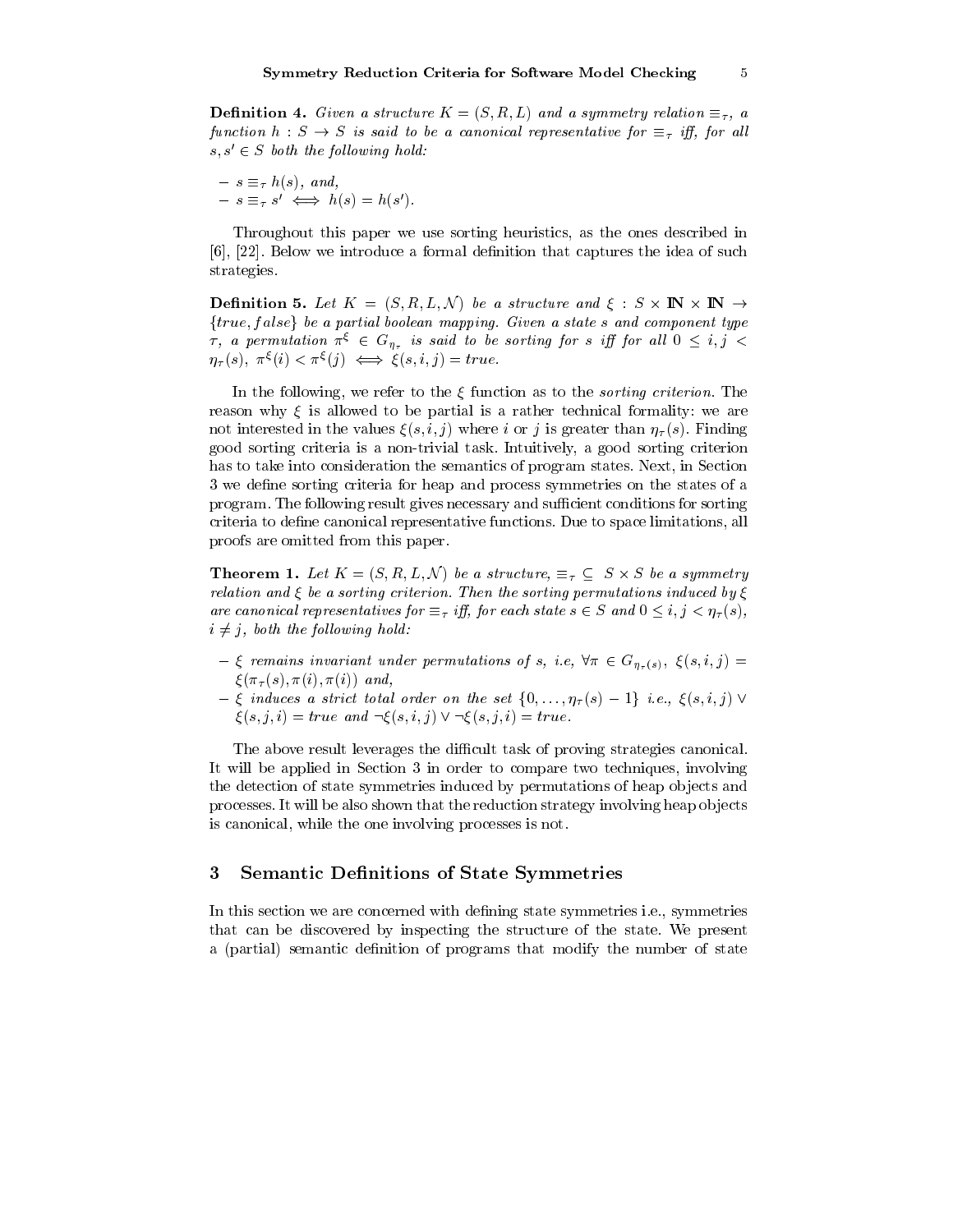**Definition 4.** Given a structure  $K = (S, R, L)$  and a symmetry relation  $\equiv_{\tau}$ , a function  $h : S \to S$  is said to be a canonical representative for  $\equiv_{\tau}$  iff, for all  $s, s' \in S$  both the following hold:

$$
- s \equiv_{\tau} h(s), \text{ and,}
$$
  

$$
- s \equiv_{\tau} s' \iff h(s) = h(s').
$$

Throughout this paper we use sorting heuristics, as the ones described in [6], [22]. Below we introduce a formal definition that captures the idea of such strategies.

**Demitrion 0.** Let  $W = (0, H, D, N)$  be a structure and  $\zeta + D \wedge W \wedge W \rightarrow$  ${true, false}$  be a partial boolean mapping. Given a state s and component type  $\tau$ , a permutation  $\pi^{\xi} \in G_{\eta_{\tau}}$  is said to be sorting for s iff for all  $0 \leq i, j \leq \pi$  $\eta_{\tau}(s), \ \pi^{\xi}(i) < \pi^{\xi}(j) \iff \xi(s, i, j) = true.$ 

In the following, we refer to the  $\xi$  function as to the *sorting criterion*. The reason why  $\xi$  is allowed to be partial is a rather technical formality: we are not interested in the values  $\xi(s, i, j)$  where i or j is greater than  $\eta_{\tau}(s)$ . Finding good sorting criteria is a non-trivial task. Intuitively, a good sorting criterion has to take into consideration the semantics of program states. Next, in Section 3 we define sorting criteria for heap and process symmetries on the states of a program. The following result gives necessary and sufficient conditions for sorting criteria to define canonical representative functions. Due to space limitations, all proofs are omitted from this paper.

**THEOREM 1.** Let  $K = (S, R, L, N)$  be a structure,  $\equiv_{\tau} \subset S \times S$  be a symmetry relation and  $\xi$  be a sorting criterion. Then the sorting permutations induced by  $\xi$ are canonical representatives for  $\equiv_{\tau}$  iff, for each state  $s \in S$  and  $0 \leq i, j \leq \eta_{\tau}(s)$ ,  $i \neq j$ , both the following hold:

- ${\cal F}$   $\in$   $\zeta$  remains invariant under permutations of s, i.e,  $\forall \pi \in G_{\eta_{\tau}(s)}, \xi(s,i,j) =$  $\xi(\pi_{\tau}(s), \pi(i), \pi(i))$  and,
- ${\cal F} = \xi$  induces a strict total order on the set  $\{0,\ldots,\eta_{\tau}(s)-1\}$  i.e.,  $\xi(s,i,j) \vee \xi(s,j,i) = true$  and  $\neg \xi(s,i,j) \vee \neg \xi(s,j,i) = true$ .

The above result leverages the difficult task of proving strategies canonical. It will be applied in Section 3 in order to compare two techniques, involving the detection of state symmetries induced by permutations of heap ob jects and processes. It will be also shown that the reduction strategy involving heap objects is canonical, while the one involving processes is not.

#### 3Semantic Definitions of State Symmetries

In this section we are concerned with defining state symmetries i.e., symmetries that can be discovered by inspecting the structure of the state. We present a (partial) semantic definition of programs that modify the number of state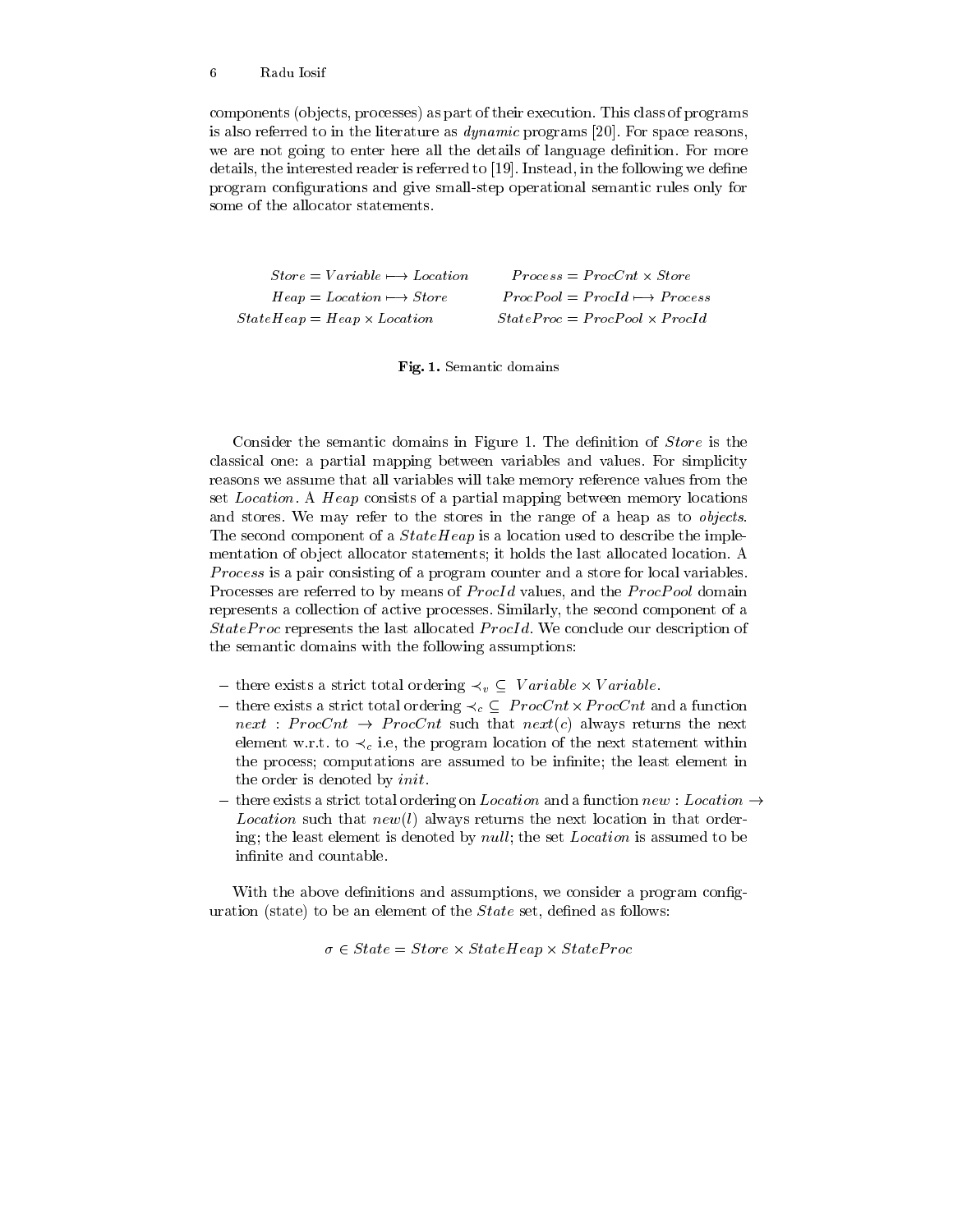components (ob jects, processes) as part of their execution. This class of programs is also referred to in the literature as dynamic programs [20]. For space reasons, we are not going to enter here all the details of language definition. For more details, the interested reader is referred to [19]. Instead, in the following we define program configurations and give small-step operational semantic rules only for some of the allocator statements.

| $Store = Variable \rightarrow Location$ | $Process = ProcCnt \times Store$                |
|-----------------------------------------|-------------------------------------------------|
| $Heap = Location \rightarrow Store$     | $Proof$ $ProcPool = ProcId \rightarrow Process$ |
| $StateHeap =Heap \times Location$       | $StateProc = ProcPool \times ProcId$            |

Fig. 1. Semantic domains

Consider the semantic domains in Figure 1. The definition of *Store* is the classical one: a partial mapping between variables and values. For simplicity reasons we assume that all variables will take memory reference values from the set Location. A Heap consists of a partial mapping between memory locations and stores. We may refer to the stores in the range of a heap as to *objects*. The second component of a  $StateHeap$  is a location used to describe the implementation of ob ject allocator statements; it holds the last allocated location. A Process is a pair consisting of a program counter and a store for local variables. Processes are referred to by means of  $ProcId$  values, and the  $ProcPool$  domain represents a collection of active processes. Similarly, the second component of a  $StateProc$  represents the last allocated  $Proofd$ . We conclude our description of the semantic domains with the following assumptions:

- $\epsilon$  there exists a strict total ordering  $\prec_v \subseteq$  v arrable  $\land$  v arrable.
- $\tau_{\rm c}$  there exists a strict total ordering  $\tau_c \subseteq T$  rocc *nt*- $\lambda T$  rocc *nt* and a function next : ProcCnt  $\rightarrow$  ProcCnt such that next(c) always returns the next element w.r.t. to  $\prec_c$  i.e, the program location of the next statement within the process; computations are assumed to be infinite; the least element in the order is denoted by init.
- ${\bf t}$  there exists a strict total ordering on *Location* and a function new : Location  $\rightarrow$ *Location* such that  $new(l)$  always returns the next location in that ordering; the least element is denoted by *null*; the set *Location* is assumed to be infinite and countable.

With the above definitions and assumptions, we consider a program configuration (state) to be an element of the  $State$  set, defined as follows:

 $v \in S$  tates  $v = S$  to  $v = S$  . State if each  $\lambda$  is tated from  $v$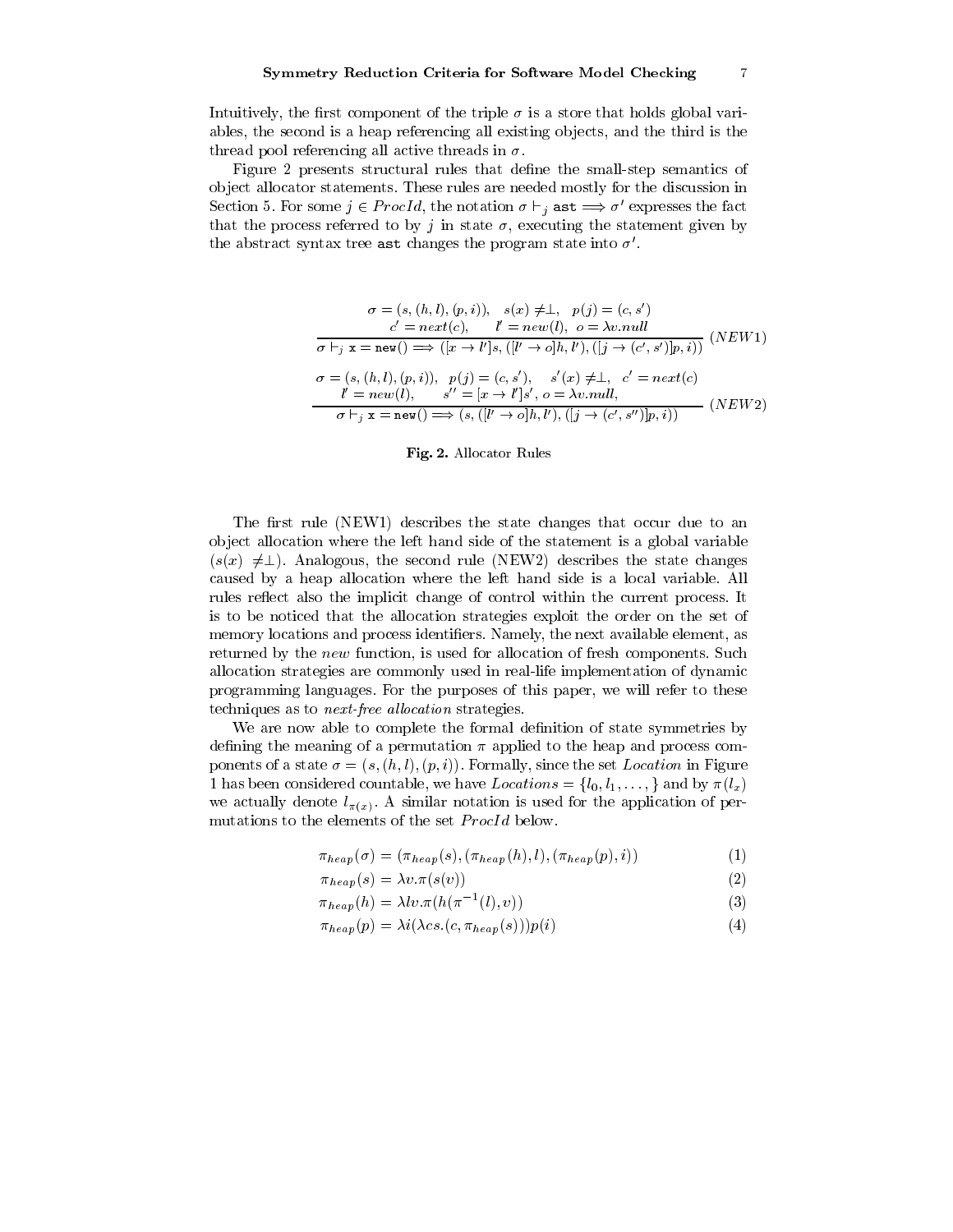Intuitively, the first component of the triple  $\sigma$  is a store that holds global variables, the second is a heap referencing all existing ob jects, and the third is the thread pool referencing all active threads in  $\sigma$ .

Figure 2 presents structural rules that define the small-step semantics of ob ject allocator statements. These rules are needed mostly for the discussion in Section 5. For some  $j \in \text{ProcId}$ , the notation  $\sigma \vdash_j \text{ast} \Longrightarrow \sigma'$  expresses the fact that the process referred to by j in state  $\sigma$ , executing the statement given by the abstract syntax tree ast changes the program state into  $\sigma'$ .

$$
\sigma = (s, (h, l), (p, i)), s(x) \neq \perp, p(j) = (c, s')
$$
  

$$
c' = next(c), l' = new(l), o = \lambda v.null
$$
  

$$
\sigma \vdash_j x = new() \Longrightarrow ([x \to l']s, ([l' \to o]h, l'), ([j \to (c', s')]p, i))
$$
  

$$
\sigma = (s, (h, l), (p, i)), p(j) = (c, s'), s'(x) \neq \perp, c' = next(c)
$$
  

$$
l' = new(l), s'' = [x \to l']s', o = \lambda v.null,
$$
  

$$
\sigma \vdash_j x = new() \Longrightarrow (s, ([l' \to o]h, l'), ([j \to (c', s'')]p, i))
$$
  
(NEW2)

### Fig. 2. Allocator Rules

The first rule (NEW1) describes the state changes that occur due to an ob ject allocation where the left hand side of the statement is a global variable  $(s(x) \neq \perp)$ . Analogous, the second rule (NEW2) describes the state changes caused by a heap allocation where the left hand side is a local variable. All rules reflect also the implicit change of control within the current process. It is to be noticed that the allocation strategies exploit the order on the set of memory locations and process identifiers. Namely, the next available element, as returned by the *new* function, is used for allocation of fresh components. Such allocation strategies are commonly used in real-life implementation of dynamic programming languages. For the purposes of this paper, we will refer to these techniques as to *next-free allocation* strategies.

We are now able to complete the formal definition of state symmetries by defining the meaning of a permutation  $\pi$  applied to the heap and process components of a state  $\sigma = (s, (h, l), (p, i))$ . Formally, since the set *Location* in Figure 1 has been considered countable, we have Locations =  $\{l_0, l_1, \ldots, \}$  and by  $\pi(l_x)$ we actually denote  $l_{\pi(x)}$ . A similar notation is used for the application of permutations to the elements of the set  $ProcId$  below.

$$
\pi_{heap}(\sigma) = (\pi_{heap}(s), (\pi_{heap}(h), l), (\pi_{heap}(p), i))
$$
\n(1)

$$
\pi_{heap}(s) = \lambda v. \pi(s(v))\tag{2}
$$

$$
\pi_{heap}(h) = \lambda l v. \pi(h(\pi^{-1}(l), v))
$$
\n(3)

$$
\pi_{heap}(p) = \lambda i(\lambda cs.(c, \pi_{heap}(s)))p(i)
$$
\n(4)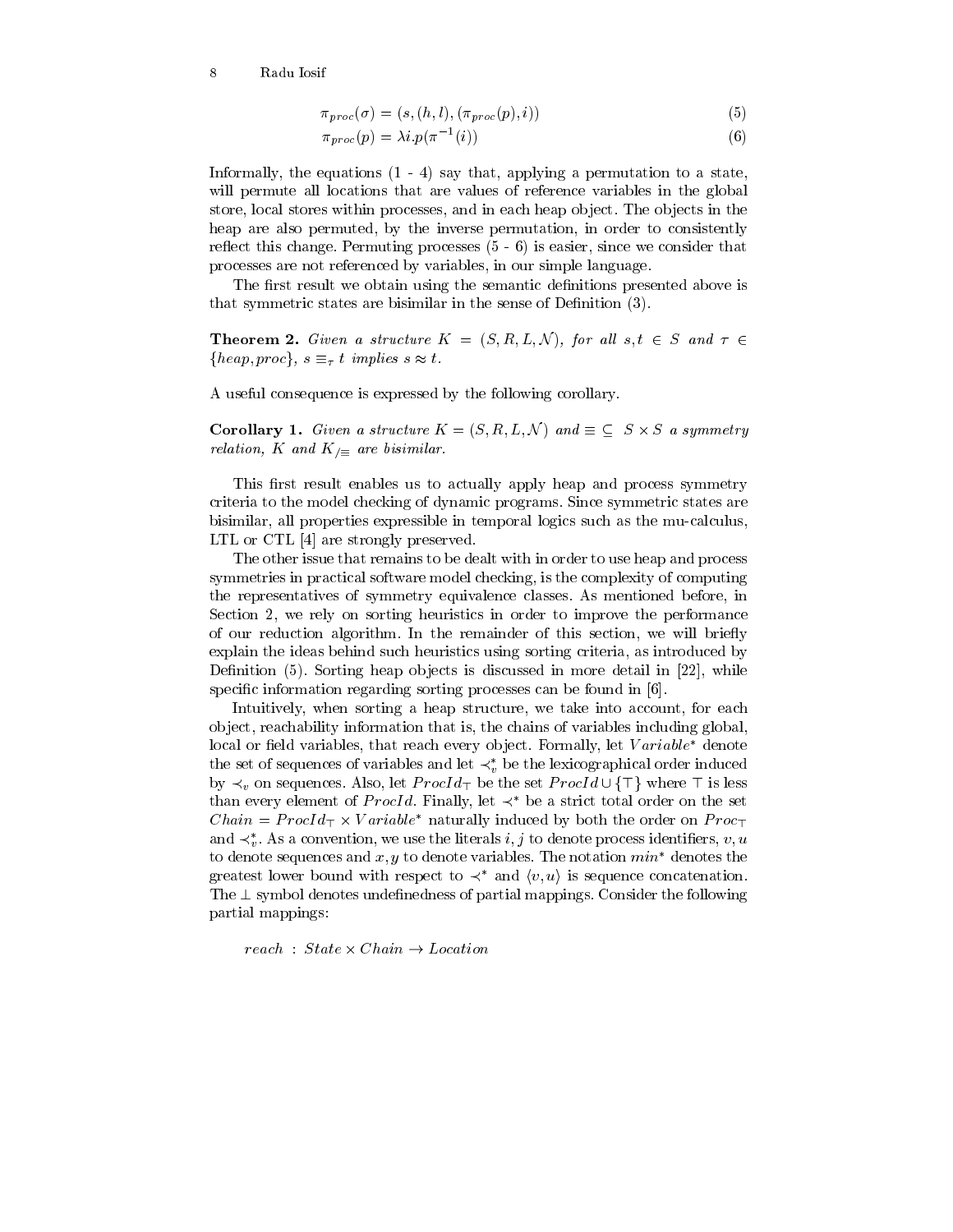$$
\pi_{proc}(\sigma) = (s, (h, l), (\pi_{proc}(p), i))
$$
\n
$$
(5)
$$

$$
\pi_{proc}(p) = \lambda i \cdot p(\pi^{-1}(i))\tag{6}
$$

Informally, the equations  $(1 - 4)$  say that, applying a permutation to a state, will permute all locations that are values of reference variables in the global store, local stores within processes, and in each heap object. The objects in the heap are also permuted, by the inverse permutation, in order to consistently reflect this change. Permuting processes  $(5 - 6)$  is easier, since we consider that processes are not referenced by variables, in our simple language.

The first result we obtain using the semantic definitions presented above is that symmetric states are bisimilar in the sense of Definition  $(3)$ .

**Theorem 2.** Given a structure  $K = (S, R, L, \mathcal{N})$ , for all  $s, t \in S$  and  $\tau \in \mathcal{N}$  ${heap, proc}, s \equiv_{\tau} t implies s \approx t.$ 

A useful consequence is expressed by the following corollary.

Corollary 1. Given a structure  $K = (S, R, L, N)$  and  $\equiv \sub{S} \times S$  a symmetry relation, K and  $K_{/\equiv}$  are bisimilar.

This first result enables us to actually apply heap and process symmetry criteria to the model checking of dynamic programs. Since symmetric states are bisimilar, all properties expressible in temporal logics such as the mu-calculus, LTL or CTL [4] are strongly preserved.

The other issue that remains to be dealt with in order to use heap and process symmetries in practical software model checking, is the complexity of computing the representatives of symmetry equivalence classes. As mentioned before, in Section 2, we rely on sorting heuristics in order to improve the performance of our reduction algorithm. In the remainder of this section, we will briefly explain the ideas behind such heuristics using sorting criteria, as introduced by Definition (5). Sorting heap objects is discussed in more detail in [22], while specific information regarding sorting processes can be found in [6].

Intuitively, when sorting a heap structure, we take into account, for each ob ject, reachability information that is, the chains of variables including global, local or field variables, that reach every object. Formally, let  $Variable^*$  denote the set or sequences of variables and let  $\prec_v$  be the lexicographical order induced the set of sequences of variables and let  $\prec_v^*$  be the lexicographical order induced<br>by  $\prec_v$  on sequences. Also, let  $Proofd_{\top}$  be the set  $Proofd \cup \{\top\}$  where  $\top$  is less than every element of *ProcId*. Finally, let  $\prec^*$  be a strict total order on the set  $C$   $n a n = Proc a \tau \times Var a$  and  $e$  -naturally induced by both the order on  $Proc \tau$ and  $\prec_v$ . As a convention, we use the literals  $i, j$  to denote process identifiers,  $v, u$ to denote sequences and x, y to denote variables. The notation  $min^*$  denotes the greatest lower bound with respect to  $\prec^*$  and  $\langle v, u \rangle$  is sequence concatenation. The  $\perp$  symbol denotes undefinedness of partial mappings. Consider the following partial mappings:

 $\mu$  each  $\mu$  . Share  $\lambda$  Chain  $\rightarrow$  Location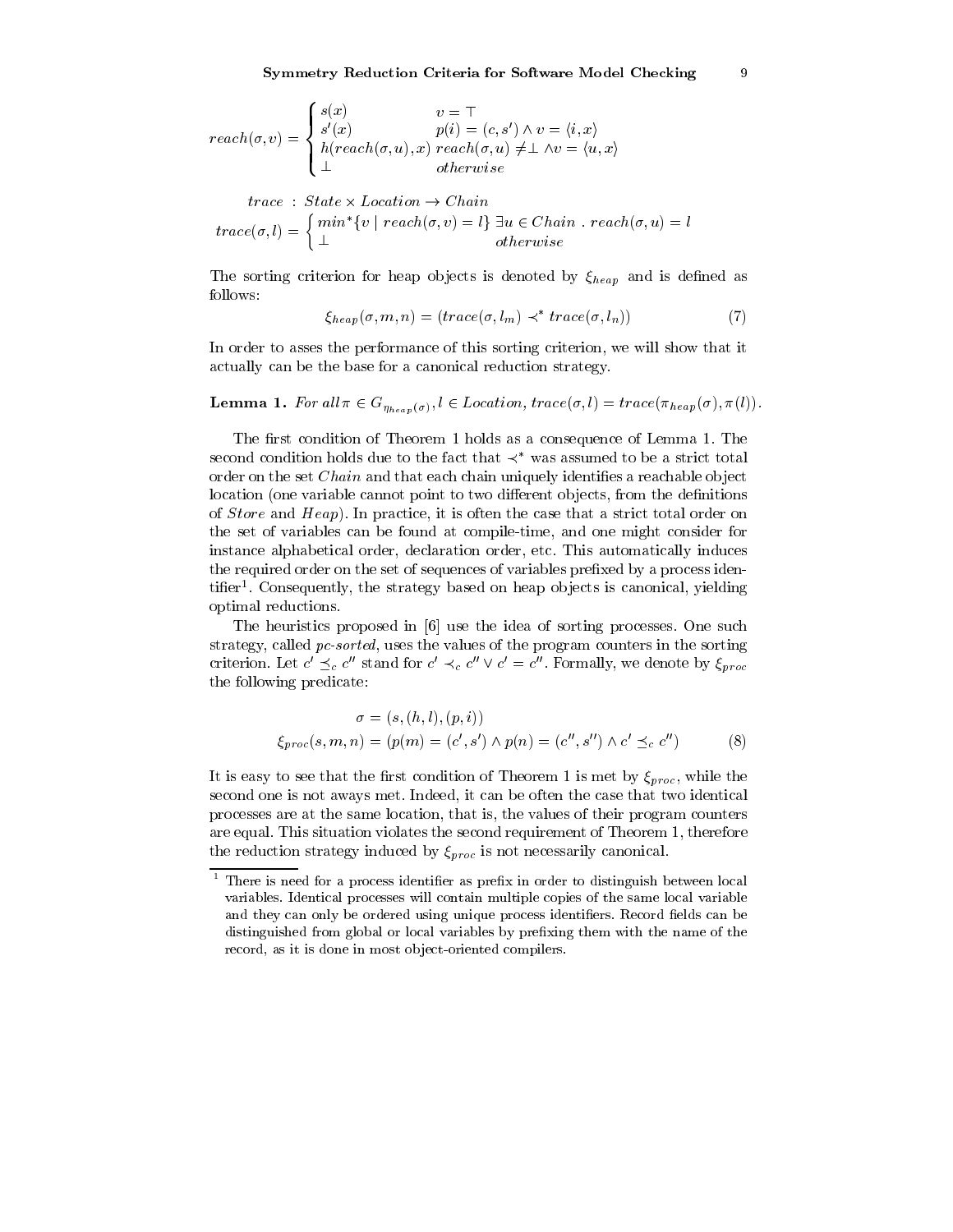$$
reach(\sigma, v) = \begin{cases} s(x) & v = \top \\ s'(x) & p(i) = (c, s') \land v = \langle i, x \rangle \\ h(reach(\sigma, u), x) & reach(\sigma, u) \neq \bot \land v = \langle u, x \rangle \\ \bot & otherwise \end{cases}
$$

$$
trace : State \times Location \rightarrow Chain
$$
  

$$
trace(\sigma, l) = \begin{cases} min^* \{v \mid reach(\sigma, v) = l\} \ \exists u \in Chain \cdot reach(\sigma, u) = l \\ \bot & otherwise \end{cases}
$$

The sorting criterion for heap objects is denoted by  $\xi_{heap}$  and is defined as follows:

$$
\xi_{heap}(\sigma, m, n) = (trace(\sigma, l_m) \prec^* trace(\sigma, l_n))
$$
\n<sup>(7)</sup>

In order to asses the performance of this sorting criterion, we will show that it actually can be the base for a canonical reduction strategy.

**Lemma 1.** For all  $\pi \in G_{\eta_{\text{hean}}(\sigma)}, l \in \text{Location}, \text{trace}(\sigma, l) = \text{trace}(\pi_{\text{heap}}(\sigma), \pi(l)).$ 

The first condition of Theorem 1 holds as a consequence of Lemma 1. The second condition holds due to the fact that  $\prec^*$  was assumed to be a strict total order on the set  $Chain$  and that each chain uniquely identifies a reachable object location (one variable cannot point to two different objects, from the definitions of Store and Heap). In practice, it is often the case that a strict total order on the set of variables can be found atcompile-time, and one might consider for instance alphabetical order, declaration order, etc. This automatically induces the required order on the set of sequences of variables prefixed by a process identilier . Consequently, the strategy based on heap objects is canonical, yielding optimal reductions.

The heuristics proposed in [6] use the idea of sorting processes. One such strategy, called pc-sorted, uses the values of the program counters in the sorting criterion. Let  $c \preceq_c c$  stand for  $c \prec_c c$  v  $c = c$  . Formally, we denote by  $\zeta_{proc}$ the following predicate:

$$
\sigma = (s, (h, l), (p, i))
$$
  

$$
\xi_{proc}(s, m, n) = (p(m) = (c', s') \land p(n) = (c'', s'') \land c' \preceq_c c'')
$$
 (8)

It is easy to see that the first condition of Theorem 1 is met by  $\xi_{proc}$ , while the second one is not aways met. Indeed, it can be often the case that two identical processes are at the same location, that is, the values of their program counters are equal. This situation violates the second requirement of Theorem 1, therefore the reduction strategy induced by  $\xi_{proc}$  is not necessarily canonical.

9

 $^{\circ}$  There is need for a process identifier as prefix in order to distinguish between local  $^{\circ}$ variables. Identical processes will contain multiple copies of the same local variable and they can only be ordered using unique process identifiers. Record fields can be distinguished from global or local variables by prefixing them with the name of the record, as it is done in most ob ject-oriented compilers.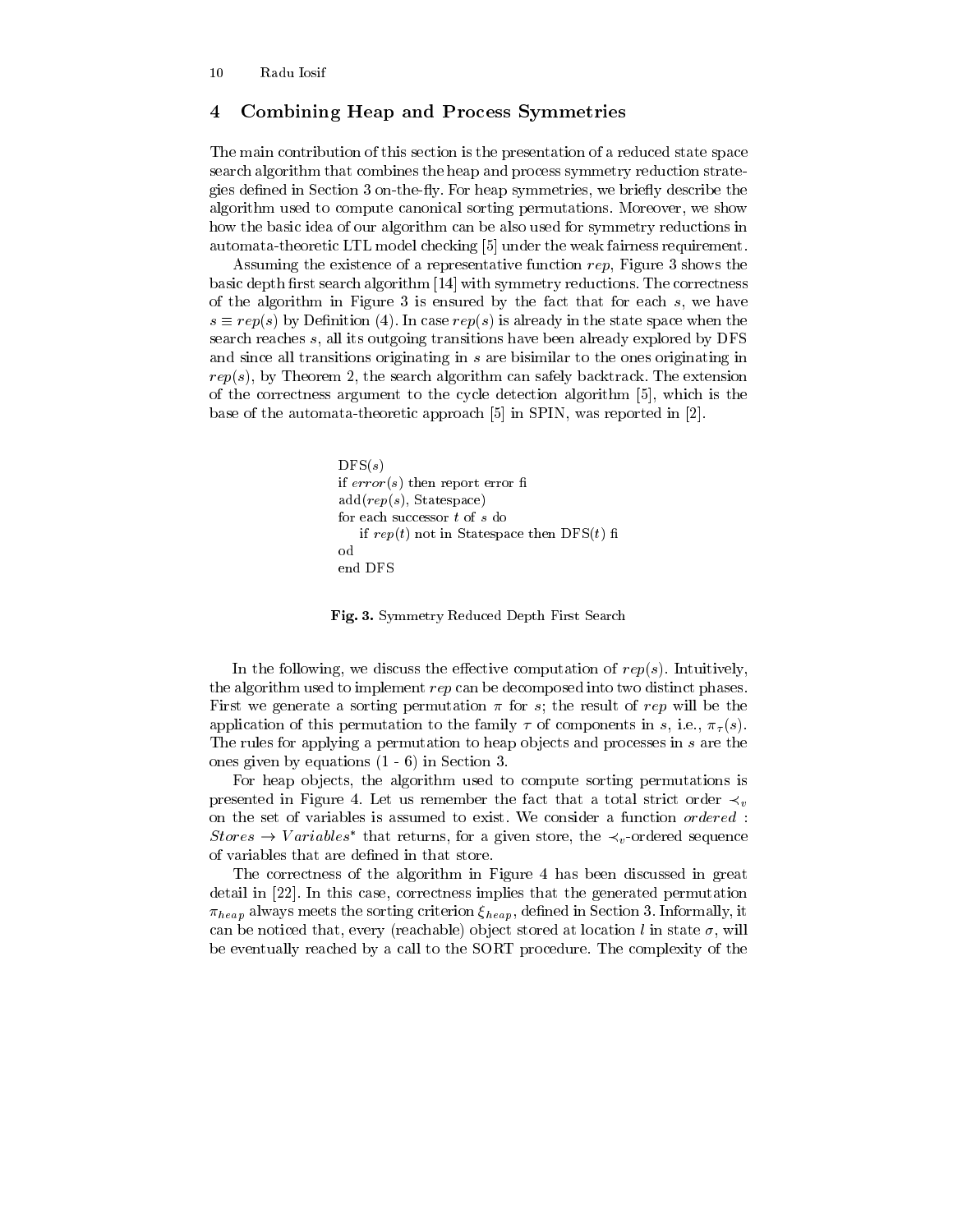#### 4Combining Heap and Process Symmetries

The main contribution of this section is the presentation of a reduced state space search algorithm that combines the heap and process symmetry reduction strategies defined in Section 3 on-the-fly. For heap symmetries, we briefly describe the algorithm used to compute canonical sorting permutations. Moreover, we show how the basic idea of our algorithm can be also used for symmetry reductions in automata-theoretic LTL model checking [5] under the weak fairness requirement.

Assuming the existence of a representative function rep, Figure 3 shows the basic depth first search algorithm [14] with symmetry reductions. The correctness of the algorithm in Figure 3 is ensured by the fact that for each s, we have  $s \equiv rep(s)$  by Definition (4). In case  $rep(s)$  is already in the state space when the search reaches s, all its outgoing transitions have been already explored by DFS and since all transitions originating in <sup>s</sup> are bisimilar to the ones originating in  $rep(s)$ , by Theorem 2, the search algorithm can safely backtrack. The extension of the correctness argument to the cycle detection algorithm  $[5]$ , which is the base of the automata-theoretic approach [5] in SPIN, was reported in [2].

```
DFS(s)if error(s) then report error fi
add(rep(s), State space)for each successor t of s do
   if rep(t) not in Statespace then DFS(t) fi
od
end DFS
```
Fig. 3. Symmetry Reduced Depth First Search

In the following, we discuss the effective computation of  $rep(s)$ . Intuitively, the algorithm used to implement  $rep$  can be decomposed into two distinct phases. First we generate a sorting permutation  $\pi$  for s; the result of rep will be the application of this permutation to the family  $\tau$  of components in s, i.e.,  $\pi_{\tau}(s)$ . The rules for applying a permutation to heap objects and processes in s are the ones given by equations (1 - 6) in Section 3.

For heap objects, the algorithm used to compute sorting permutations is presented in Figure 4. Let us remember the fact that a total strict order  $\prec_v$ on the set of variables is assumed to exist. We consider a function ordered :  $\sigma$   $\sigma$   $\rightarrow$  v ariables that returns, for a given store, the  $\prec_v$ -ordered sequence of variables that are defined in that store.

The correctness of the algorithm in Figure 4 has been discussed in great detail in [22]. In this case, correctness implies that the generated permutation  $\pi_{heap}$  always meets the sorting criterion  $\xi_{heap}$ , defined in Section 3. Informally, it can be noticed that, every (reachable) object stored at location l in state  $\sigma$ , will be eventually reached by a call to the SORT procedure. The complexity of the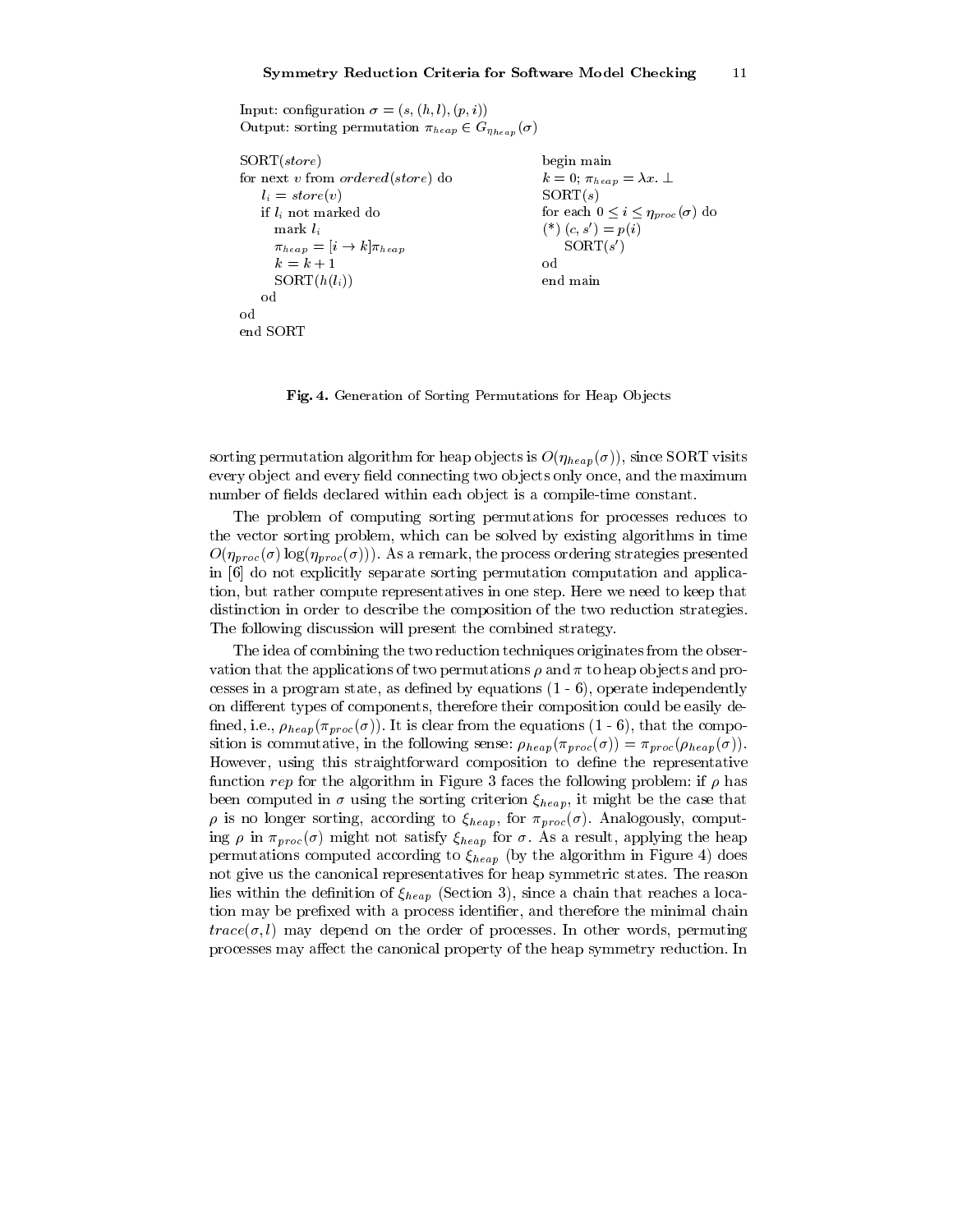Input: configuration  $\sigma = (s, (h, l), (p, i))$ Output: sorting permutation  $\pi_{heap} \in G_{\eta_{heap}}(\sigma)$ 

```
SORT(store)
for next v from ordered(store) do
    l_i = store(v)if l_i not marked do
      mark l_i\pi_{heap} = [i \rightarrow k] \pi_{heap}k = k + 1SORT(h(l_i))od
od
end SORT
                                                           begin main
                                                           k = 0; \pi_{heap} = \lambda x. \perpSORT(s)for each 0 \leq i \leq \eta_{proc}(\sigma) do
                                                           (*) (c, s') = p(i)\mathrm{SOKT}(s^\circ) \ \mathrm{od}end main
```
Fig. 4. Generation of Sorting Permutations for Heap Objects

sorting permutation algorithm for heap objects is  $O(\eta_{heap}(\sigma))$ , since SORT visits every object and every field connecting two objects only once, and the maximum number of fields declared within each object is a compile-time constant.

The problem of computing sorting permutations for processes reduces to the vector sorting problem, which can be solved by existing algorithms in time  $O(\eta_{proc}(\sigma) \log(\eta_{proc}(\sigma)))$ . As a remark, the process ordering strategies presented in [6] do not explicitly separate sorting permutation computation and application, but rather compute representatives in one step. Here we need to keep that distinction in order to describe the composition of the two reduction strategies. The following discussion will present the combined strategy.

The idea of combining the two reduction techniques originates from the obser vation that the applications of two permutations  $\rho$  and  $\pi$  to heap objects and processes in a program state, as defined by equations  $(1 - 6)$ , operate independently on different types of components, therefore their composition could be easily defined, i.e.,  $\rho_{heap}(\pi_{proc}(\sigma))$ . It is clear from the equations (1 - 6), that the composition is commutative, in the following sense:  $\rho_{heap}(\pi_{proc}(\sigma)) = \pi_{proc}(\rho_{heap}(\sigma))$ . However, using this straightforward composition to define the representative function rep for the algorithm in Figure 3 faces the following problem: if  $\rho$  has been computed in  $\sigma$  using the sorting criterion  $\xi_{heap}$ , it might be the case that  $\rho$  is no longer sorting, according to  $\xi_{heap}$ , for  $\pi_{proc}(\sigma)$ . Analogously, computing  $\rho$  in  $\pi_{proc}(\sigma)$  might not satisfy  $\xi_{heap}$  for  $\sigma$ . As a result, applying the heap permutations computed according to  $\xi_{heap}$  (by the algorithm in Figure 4) does not give us the canonical representatives for heap symmetric states. The reason lies within the definition of  $\xi_{heap}$  (Section 3), since a chain that reaches a location may be prefixed with a process identifier, and therefore the minimal chain  $trace(\sigma, l)$  may depend on the order of processes. In other words, permuting processes may affect the canonical property of the heap symmetry reduction. In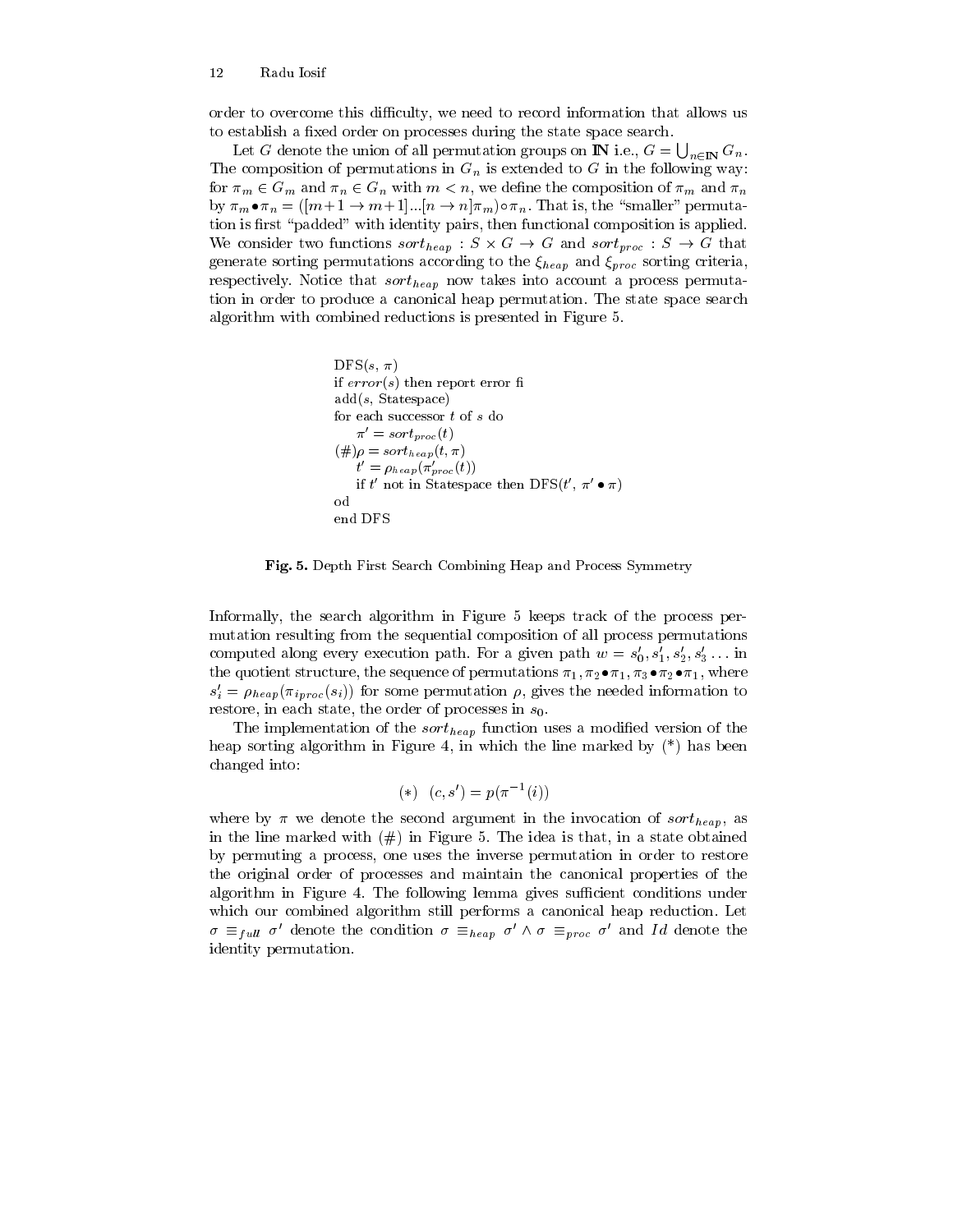order to overcome this difficulty, we need to record information that allows us to establish a fixed order on processes during the state space search.

Let  $G$  denote the union of all permutation groups on  $\mathbb{I}\mathbb{N}$  i.e.,  $G=\bigcup_{n\in\mathbb{I}\mathbb{N}}G_n$ . The composition of permutations in  $G_n$  is extended to G in the following way: for  $\pi_m \in G_m$  and  $\pi_n \in G_n$  with  $m < n$ , we define the composition of  $\pi_m$  and  $\pi_n$ by  $\pi_m \bullet \pi_n = ([m+1 \to m+1]...[n \to n] \pi_m) \circ \pi_n$ . That is, the "smaller" permutation is first "padded" with identity pairs, then functional composition is applied. We consider two functions sortheap  $\theta \cup \infty$   $\Theta \rightarrow \Theta$  and sort<sub>proc</sub>  $\theta \rightarrow \Theta$  that generate sorting permutations according to the  $\xi_{heap}$  and  $\xi_{proc}$  sorting criteria, respectively. Notice that  $sort_{heap}$  now takes into account a process permutation in order to produce a canonical heap permutation. The state space search algorithm with combined reductions is presented in Figure 5.

```
DFS(s, \pi)if error(s) then report error fi
add(s, Statespace)
for each successor t of s do
   \pi' = sort_{proc}(t)(\#)\rho = sort_{heap}(t, \pi)t = \rho_{heap}(\pi_{proc}(t))if t not in statespace then DFS(t, \pi \bullet \pi)od
end DFS
```
### Fig. 5. Depth First Search Combining Heap and Process Symmetry

Informally, the search algorithm in Figure 5 keeps track of the process per mutation resulting from the sequential composition of all process permutations computed along every execution path. For a given path  $w = s_0, s_1, s_2, s_3 \ldots$  in the quotient structure, the sequence of permutations  $\pi_1, \pi_2 \bullet \pi_1, \pi_3 \bullet \pi_2 \bullet \pi_1$ , where  $s_i = \rho_{heap}(\pi_{iproc}(s_i))$  for some permutation  $\rho$ , gives the needed information to restore, in each state, the order of processes in  $s_0$ .

The implementation of the  $sort_{heap}$  function uses a modified version of the heap sorting algorithm in Figure 4, in which the line marked by  $(*)$  has been changed into:

(\*) 
$$
(c, s') = p(\pi^{-1}(i))
$$

where by  $\pi$  we denote the second argument in the invocation of sort<sub>heap</sub>, as in the line marked with  $(\#)$  in Figure 5. The idea is that, in a state obtained by permuting a process, one uses the inverse permutation in order to restore the original order of processes and maintain the canonical properties of the algorithm in Figure 4. The following lemma gives sufficient conditions under which our combined algorithm still performs a canonical heap reduction. Let  $\sigma \equiv_{full} \sigma'$  denote the condition  $\sigma \equiv_{heap} \sigma' \wedge \sigma \equiv_{proc} \sigma'$  and Id denote the identity permutation.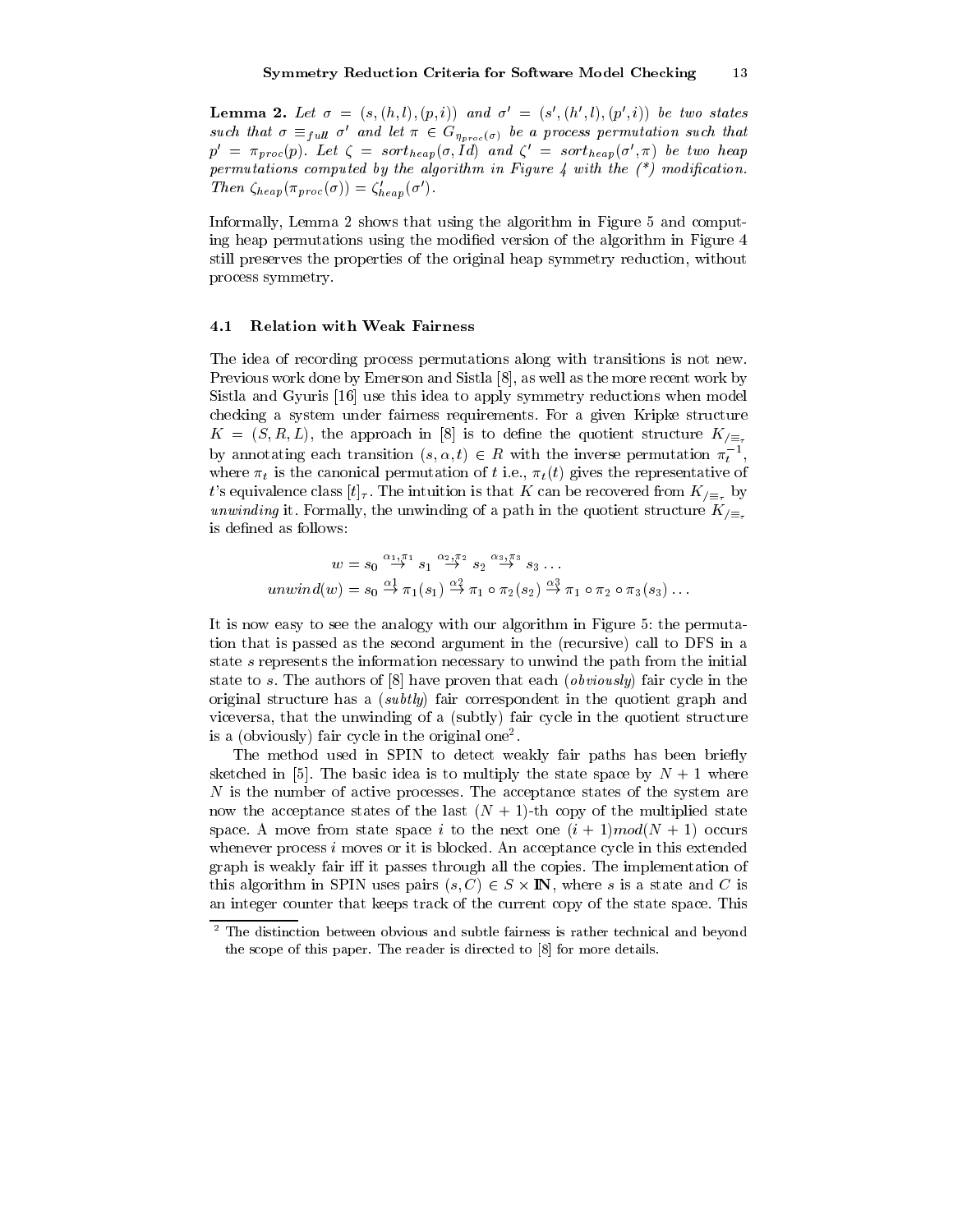**Lemma 2.** Let  $\sigma = (s, (n, t), (p, t))$  and  $\sigma = (s, (n, t), (p, t))$  be two states such that  $\sigma \equiv_{full} \sigma'$  and let  $\pi \in G_{\eta_{proc}(\sigma)}$  be a process permutation such that  $p = \pi_{proc}(p)$ . Let  $\zeta = sort_{heap}(\sigma, Ia)$  and  $\zeta = sort_{heap}(\sigma, \pi)$  be two heap permutations computed by the algorithm in Figure 4 with the  $(*)$  modification.  $I$  hen  $\zeta_{heap}(\pi_{proc}(\sigma)) = \zeta_{heap}(\sigma)$ .

Informally, Lemma 2 shows that using the algorithm in Figure 5 and computing heap permutations using the modied version of the algorithm in Figure 4 still preserves the properties of the original heap symmetry reduction, without process symmetry.

### 4.1 Relation with Weak Fairness

The idea of recording process permutations along with transitions is not new. Previous work done by Emerson and Sistla [8], as well as the more recent work by Sistla and Gyuris [16] use this idea to apply symmetry reductions when model checking a system under fairness requirements. For a given Kripke structure  $K = (S, R, L)$ , the approach in [8] is to define the quotient structure  $K_{/\equiv_{\tau}}$ by annotating each transition  $(s, \alpha, t) \in R$  with the inverse permutation  $\pi_t^-$ , where the canonical permutation of the canonical permutation of the representation of the representative of the representation of the representation of the representation of the representative of the representative of the t's equivalence class  $[t]_{\tau}$ . The intuition is that K can be recovered from  $K_{/\equiv_{\tau}}$  by unwinding it. Formally, the unwinding of a path in the quotient structure  $K_{/\equiv_{\tau}}$ is defined as follows:

$$
w = s_0 \stackrel{\alpha_1, \pi_1}{\rightarrow} s_1 \stackrel{\alpha_2, \pi_2}{\rightarrow} s_2 \stackrel{\alpha_3, \pi_3}{\rightarrow} s_3 \dots
$$
  
unwind(w) =  $s_0 \stackrel{\alpha_1}{\rightarrow} \pi_1(s_1) \stackrel{\alpha_2}{\rightarrow} \pi_1 \circ \pi_2(s_2) \stackrel{\alpha_3}{\rightarrow} \pi_1 \circ \pi_2 \circ \pi_3(s_3) \dots$ 

It is now easy to see the analogy with our algorithm in Figure 5: the permutation that is passed as the second argument in the (recursive) call to DFS in a state <sup>s</sup> represents the information necessary to unwind the path from the initial state to s. The authors of  $[8]$  have proven that each *(obviously)* fair cycle in the original structure has a (subtly) fair correspondent in the quotient graph and viceversa, that the unwinding of a (subtly) fair cycle in the quotient structure is a (obviously) fair cycle in the original one<sup>2</sup> .

The method used in SPIN to detect weakly fair paths has been briefly sketched in [5]. The basic idea is to multiply the state space by  $N + 1$  where <sup>N</sup> is the number of active processes. The acceptance states of the system are now the acceptance states of the last  $(N + 1)$ -th copy of the multiplied state space. A move from state space i to the next one  $(i + 1) \text{ mod}(N + 1)$  occurs whenever process *i* moves or it is blocked. An acceptance cycle in this extended graph is weakly fair iff it passes through all the copies. The implementation of  $\alpha$  algorithm in SPI in uses pairs  $(s, \cup) \in \mathcal{D} \wedge \mathbf{I}$ , where s is a state and  $\bigcup$  is an integer counter that keeps track of the current copy of the state space. This

<sup>2</sup> The distinction between obvious and subtle fairness is rather technical and beyond the scope of this paper. The reader is directed to [8] for more details.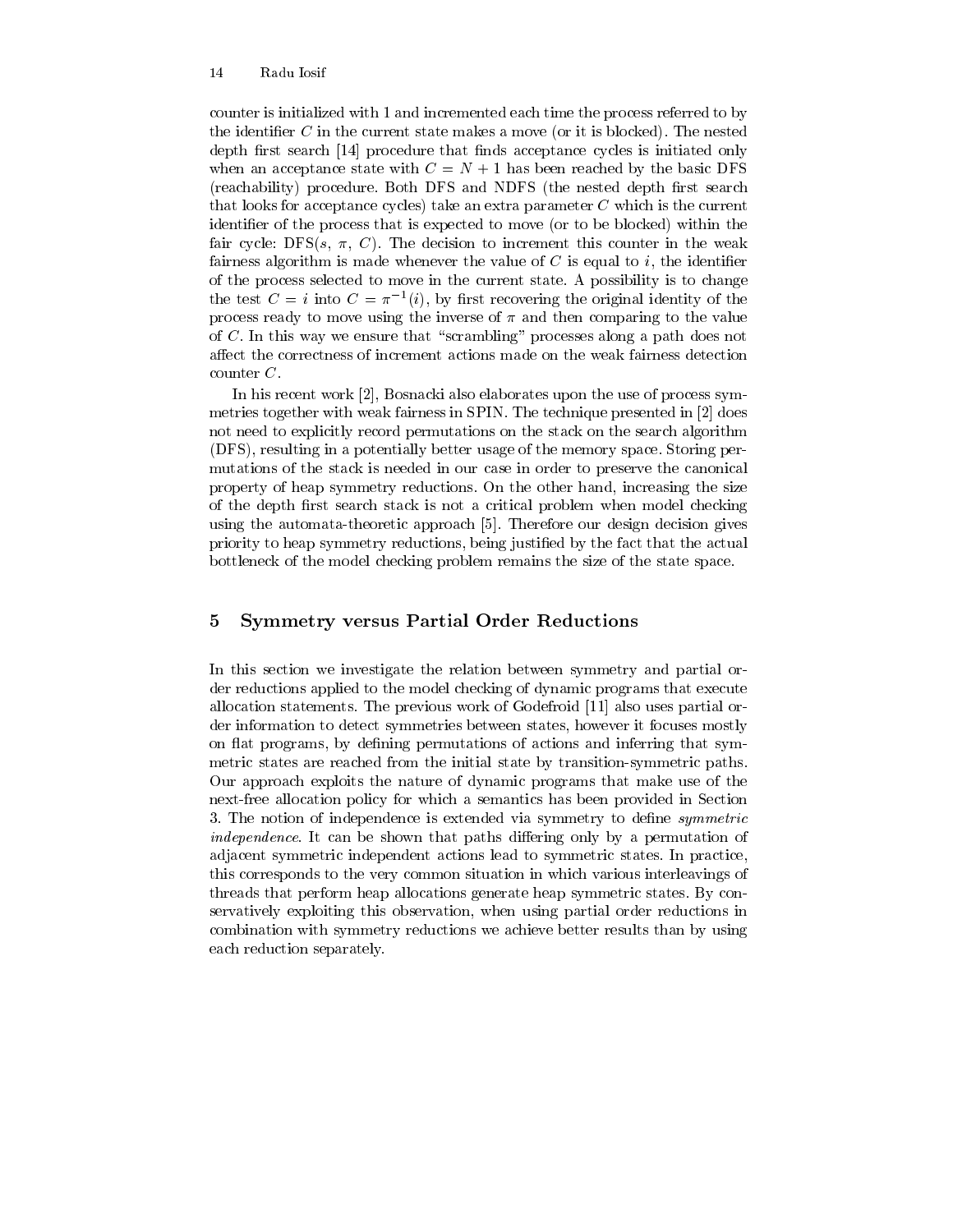counter is initialized with 1 and incremented each time the process referred to by the identifier  $C$  in the current state makes a move (or it is blocked). The nested depth first search [14] procedure that finds acceptance cycles is initiated only when an acceptance state with  $C = N + 1$  has been reached by the basic DFS (reachability) procedure. Both DFS and NDFS (the nested depth first search that looks for acceptance cycles) take an extra parameter  $C$  which is the current identier of the process that is expected to move (or to be blocked) within the fair cycle: DFS(s,  $\pi$ , C). The decision to increment this counter in the weak fairness algorithm is made whenever the value of  $C$  is equal to i, the identifier of the process selected to move in the current state. A possibility is to change the test  $C = i$  into  $C = \pi^{-1}(i)$ , by first recovering the original identity of the process ready to move using the inverse of  $\pi$  and then comparing to the value of  $C$ . In this way we ensure that "scrambling" processes along a path does not affect the correctness of increment actions made on the weak fairness detection counter C.

In his recent work [2], Bosnacki also elaborates upon the use of process symmetries together with weak fairness in SPIN. The technique presented in [2] does not need to explicitly record permutations on the stack on the search algorithm (DFS), resulting in a potentially better usage of the memory space. Storing per mutations of the stack is needed in our case in order to preserve the canonical property of heap symmetry reductions. On the other hand, increasing the size of the depth first search stack is not a critical problem when model checking using the automata-theoretic approach [5]. Therefore our design decision gives priority to heap symmetry reductions, being justied by the fact that the actual bottleneck of the model checking problem remains the size of the state space.

## Symmetry versus Partial Order Reductions

In this section we investigate the relation between symmetry and partial order reductions applied to the model checking of dynamic programs that execute allocation statements. The previous work of Godefroid [11] also uses partial order information to detect symmetries between states, however it focuses mostly on flat programs, by defining permutations of actions and inferring that symmetric states are reached from the initial state by transition-symmetric paths. Our approach exploits the nature of dynamic programs that make use of the next-free allocation policy for which a semantics has been provided in Section 3. The notion of independence is extended via symmetry to define symmetric *independence*. It can be shown that paths differing only by a permutation of adjacent symmetric independent actions lead to symmetric states. In practice, this corresponds to the very common situation in which various interleavings of threads that perform heap allocations generate heap symmetric states. By conservatively exploiting this observation, when using partial order reductions in combination with symmetry reductions we achieve better results than by using each reduction separately.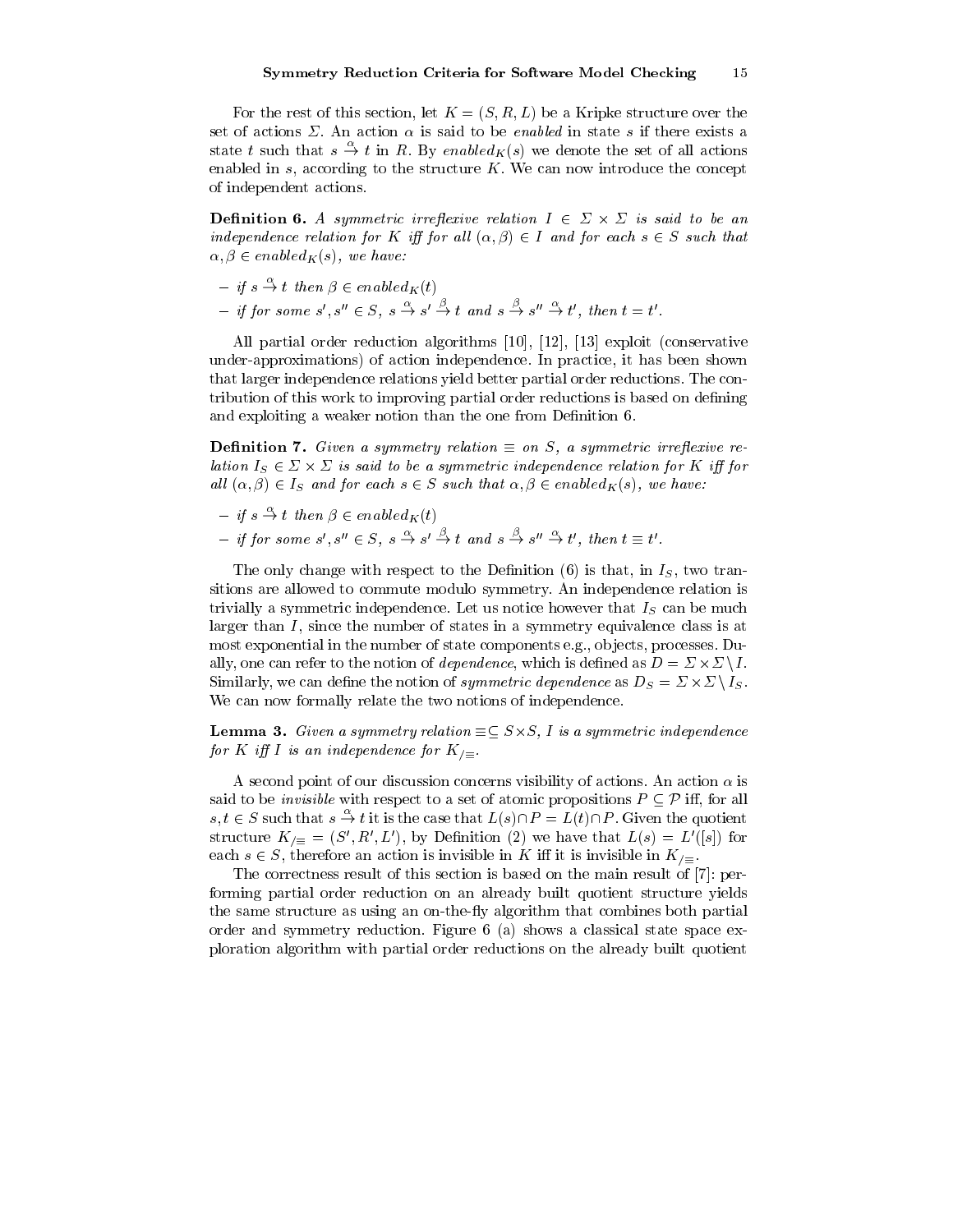For the rest of this section, let  $K = (S, R, L)$  be a Kripke structure over the set of actions  $\Sigma$ . An action  $\alpha$  is said to be *enabled* in state s if there exists a state t such that  $s \stackrel{\alpha}{\to} t$  in R. By enabled<sub>K</sub>(s) we denote the set of all actions enabled in  $s$ , according to the structure  $K$ . We can now introduce the concept of independent actions.

**Deminition 6.** A symmetric irreflexive relation  $I \in \mathbb{Z} \wedge \mathbb{Z}$  is said to be an independence relation for K iff for all  $(\alpha, \beta) \in I$  and for each  $s \in S$  such that  $\alpha, \beta \in enabled_K(s)$ , we have:

 $\overline{\phantom{a}}$  if  $s \stackrel{\alpha}{\rightarrow} t$  then  $\beta \in enabled_K(t)$  $-$  if for some s', s"  $\in S$ ,  $s \stackrel{\sim}{\to} s' \stackrel{\sim}{\to} t$  and  $s \stackrel{\sim}{\to} s'' \stackrel{\sim}{\to} t'$ , then  $t = t'$ .

All partial order reduction algorithms [10], [12], [13] exploit (conservative under-approximations) of action independence. In practice, it has been shown that larger independence relations yield better partial order reductions. The contribution of this work to improving partial order reductions is based on defining and exploiting a weaker notion than the one from Definition 6.

**Definition 7.** Given a symmetry relation  $\equiv$  on S, a symmetric irreflexive re $l$ ation  $I_S \in \mathbb{Z} \times \mathbb{Z}$  is said to be a symmetric independence relation for  $K$  iff for all  $(\alpha, \beta) \in I_s$  and for each  $s \in S$  such that  $\alpha, \beta \in enabled_K(s)$ , we have:

- $-$  if  $s \stackrel{\alpha}{\rightarrow} t$  then  $\beta \in enabled_K(t)$
- $-$  if for some s', s''  $\in$  S, s  $\stackrel{\sim}{\to}$  s'  $\stackrel{\sim}{\to}$  t and s  $\stackrel{\sim}{\to}$  s''  $\stackrel{\sim}{\to}$  t', then  $t \equiv t'$ .

The only change with respect to the Definition  $(6)$  is that, in  $I<sub>S</sub>$ , two transitions are allowed to commute modulo symmetry. An independence relation is trivially a symmetric independence. Let us notice however that  $I<sub>S</sub>$  can be much larger than  $I$ , since the number of states in a symmetry equivalence class is at most exponential in the number of state components e.g., ob jects, processes. Duany, one can refer to the notion of *dependence*, which is defined as  $D = \triangle \wedge \triangle \wedge I$ . Similarly, we can define the notion of symmetric dependence as  $D_S = \Delta \times \Delta \setminus IS$ . We can now formally relate the two notions of independence.

**Lemma 3.** Given a symmetry relation  $=$   $\cup$   $\cup$   $\wedge$   $\cup$ , **I** is a symmetric independence for K iff I is an independence for  $K_{/\equiv}$ .

A second point of our discussion concerns visibility of actions. An action  $\alpha$  is said to be *invisible* with respect to a set of atomic propositions  $P \subseteq \mathcal{P}$  iff, for all  $s, t \in S$  such that  $s \stackrel{\alpha}{\to} t$  it is the case that  $L(s)\cap P = L(t)\cap P$ . Given the quotient structure  $K_{/\equiv} = (S', R', L')$ , by Definition (2) we have that  $L(s) = L'([s])$  for each  $s \in S$ , therefore an action is invisible in K iff it is invisible in  $K_{\ell}$ .

The correctness result of this section is based on the main result of [7]: performing partial order reduction on an already built quotient structure yields the same structure as using an on-the-fly algorithm that combines both partial order and symmetry reduction. Figure 6 (a) shows a classical state space exploration algorithm with partial order reductions on the already built quotient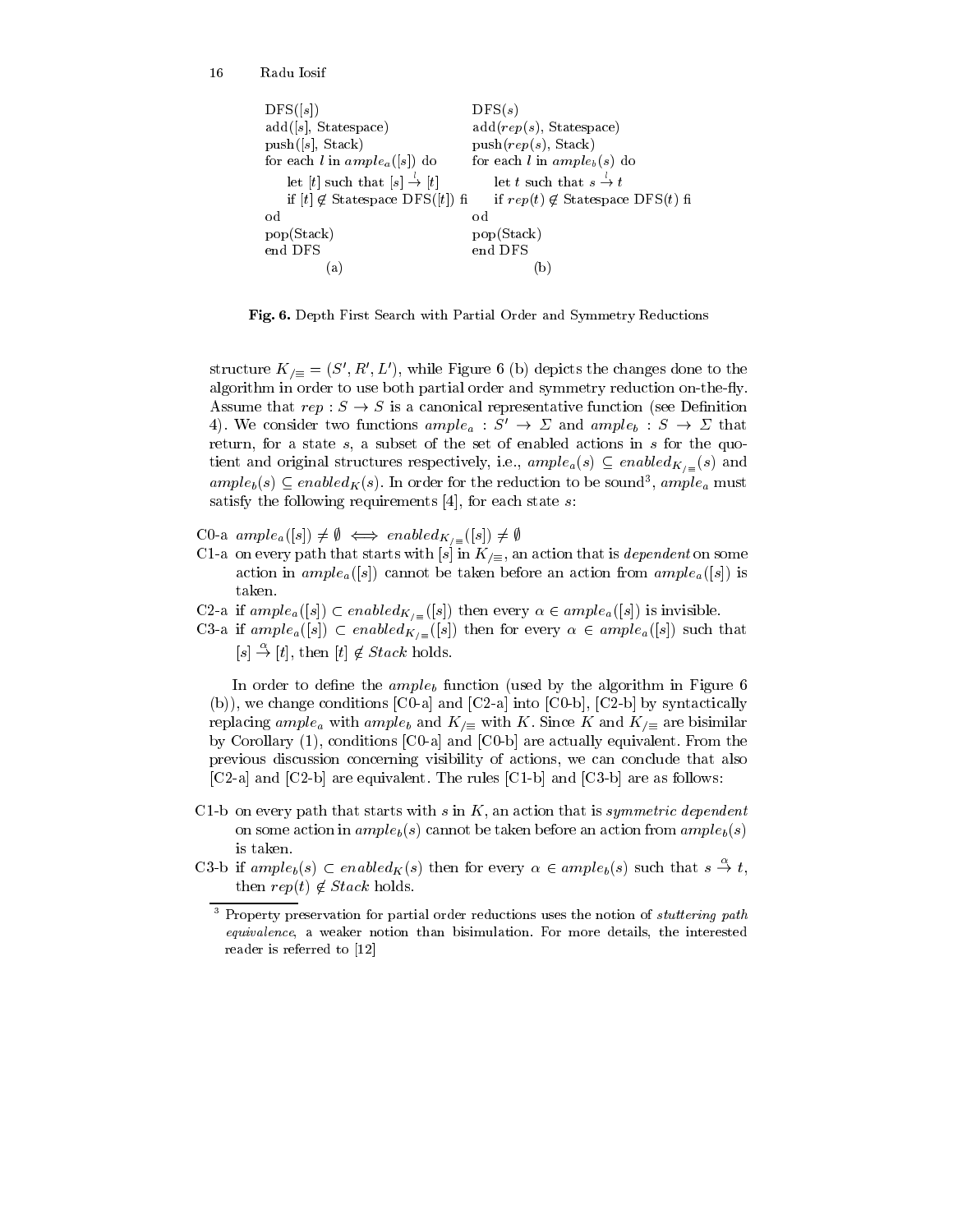```
DFS([s])add([s], Statespace)
push([s], Stack)for each l in ample_a([s]) do
   let [t] such that [s] \stackrel{\iota}{\rightarrow} [t]\rightarrow |t| let t such that s \rightarrow tif [t] \notin Statespace DFS([t]) fi
pop(Stack)
end DFS
          (a)
                                    DFS(s)add(rep(s), Statespace)push(rep(s), Stack)for each l in ample_b(s) do
                                        if rep(t) \notin Statespace DFS(t) fi
                                    pop(Stack)
                                    end DFS
                                               (b)
```
Fig. 6. Depth First Search with Partial Order and Symmetry Reductions

structure  $K_{/\equiv} = (S', R', L')$ , while Figure 6 (b) depicts the changes done to the algorithm in order to use both partial order and symmetry reduction on-the-fly. Assume that  $rep : S \to S$  is a canonical representative function (see Definition 4). We consider two functions  $ample_a : S' \rightarrow \Sigma$  and  $ample_b : S \rightarrow \Sigma$  that return, for a state  $s$ , a subset of the set of enabled actions in  $s$  for the quotient and original structures respectively, i.e.,  $ample_a(s) \subseteq enabled_{K/\equiv}(s)$  and  $amp(e_b(s)) \subseteq enaouea_{K}(s)$ . In order for the reduction to be sound  $\overline{\ }$ ,  $amp(e_a)$  must satisfy the following requirements  $[4]$ , for each state s:

C0-a  $ample_{a}([s]) \neq \emptyset \iff enabled_{K_{/\equiv}}([s]) \neq \emptyset$ 

- C1-a on every path that starts with [s] in  $K_{/\equiv}$ , an action that is *dependent* on some action in  $ample_a([s])$  cannot be taken before an action from  $ample_a([s])$  is taken.
- C2-a if  $ample_a([s]) \subset enabled_{K/\equiv}([s])$  then every  $\alpha \in ample_a([s])$  is invisible.
- C3-a if  $ample_a([s]) \subset enabled_{K_{/\equiv}}([s])$  then for every  $\alpha \in ample_a([s])$  such that  $[s] \stackrel{\alpha}{\rightarrow} [t]$ , then  $[t] \notin Stack$  holds.

In order to define the  $ample_b$  function (used by the algorithm in Figure 6 (b)), we change conditions [C0-a] and [C2-a] into [C0-b], [C2-b] by syntactically replacing ample<sub>a</sub> with ample<sub>b</sub> and  $K_{/\equiv}$  with K. Since K and  $K_{/\equiv}$  are bisimilar by Corollary (1), conditions [C0-a] and [C0-b] are actually equivalent. From the previous discussion concerning visibility of actions, we can conclude that also [C2-a] and [C2-b] are equivalent. The rules [C1-b] and [C3-b] are as follows:

- C1-b on every path that starts with  $s$  in  $K$ , an action that is symmetric dependent on some action in  $ample_b(s)$  cannot be taken before an action from  $ample_b(s)$ is taken.
- C3-b if  $ample_b(s) \subset enabled_K(s)$  then for every  $\alpha \in ample_b(s)$  such that  $s \stackrel{\alpha}{\rightarrow} t$ , then  $rep(t) \notin Stack$  holds.

 $\,$  Property preservation for partial order reductions uses the notion of stuttering path  $\,$ equivalence, a weaker notion than bisimulation. For more details, the interested reader is referred to [12]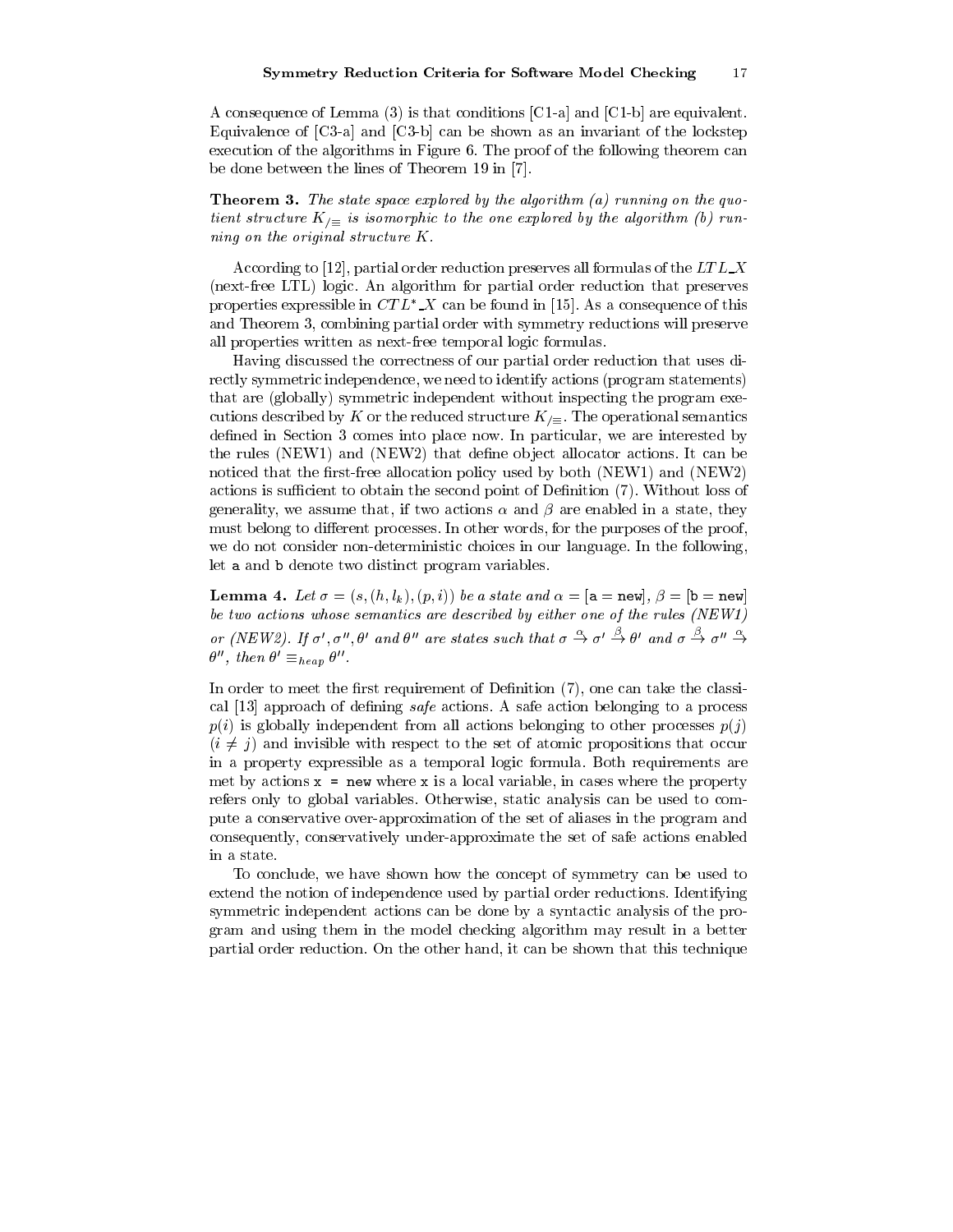A consequence of Lemma (3) is that conditions [C1-a] and [C1-b] are equivalent. Equivalence of [C3-a] and [C3-b] can be shown as an invariant of the lockstep execution of the algorithms in Figure 6. The proof of the following theorem can be done between the lines of Theorem 19 in [7].

**Theorem 3.** The state space explored by the algorithm  $(a)$  running on the quotient structure  $K_{/\equiv}$  is isomorphic to the one explored by the algorithm (b) running on the original structure K.

According to [12], partial order reduction preserves all formulas of the  $LTLX$ (next-free LTL) logic. An algorithm for partial order reduction that preserves properties expressible in  $CTL^*X$  can be found in [15]. As a consequence of this and Theorem 3, combining partial order with symmetry reductions will preserve all properties written as next-free temporal logic formulas.

Having discussed the correctness of our partial order reduction that uses directly symmetric independence, we need to identify actions (program statements) that are (globally) symmetric independent without inspecting the program executions described by K or the reduced structure  $K_{\ell}$ . The operational semantics defined in Section 3 comes into place now. In particular, we are interested by the rules (NEW1) and (NEW2) that define object allocator actions. It can be noticed that the first-free allocation policy used by both  $(NEW1)$  and  $(NEW2)$ actions is sufficient to obtain the second point of Definition  $(7)$ . Without loss of generality, we assume that, if two actions  $\alpha$  and  $\beta$  are enabled in a state, they must belong to different processes. In other words, for the purposes of the proof, we do not consider non-deterministic choices in our language. In the following, let <sup>a</sup> and <sup>b</sup> denote two distinct program variables.

**Lemma 4.** Let  $\sigma = (s, (h, l_k), (p, i))$  be a state and  $\alpha = [\alpha = \text{new}], \beta = [\beta = \text{new}]$ be two actions whose semantics are described by either one of the rules (NEW1) or (NEW2). If  $\sigma', \sigma'', \theta'$  and  $\theta''$  are states such that  $\sigma \stackrel{\sim}{\to} \sigma' \stackrel{\sim}{\to} \theta'$  and  $\sigma \stackrel{\sim}{\to} \sigma'' \stackrel{\sim}{\to}$  $\sigma$  , then  $\sigma$   $\equiv_{\mathit{heap}} \sigma$  .

In order to meet the first requirement of Definition (7), one can take the classical [13] approach of defining safe actions. A safe action belonging to a process  $p(i)$  is globally independent from all actions belonging to other processes  $p(j)$  $(i \neq j)$  and invisible with respect to the set of atomic propositions that occur in a property expressible as a temporal logic formula. Both requirements are met by actions  $x = new$  where x is a local variable, in cases where the property refers only to global variables. Otherwise, static analysis can be used to compute a conservative over-approximation of the set of aliases in the program and consequently, conservatively under-approximate the set of safe actions enabled in a state.

To conclude, we have shown how the concept of symmetry can be used to extend the notion of independence used by partial order reductions. Identifying symmetric independent actions can be done by a syntactic analysis of the program andusing them in the model checking algorithm mayresult in a better partial order reduction. On the other hand, it can be shown that this technique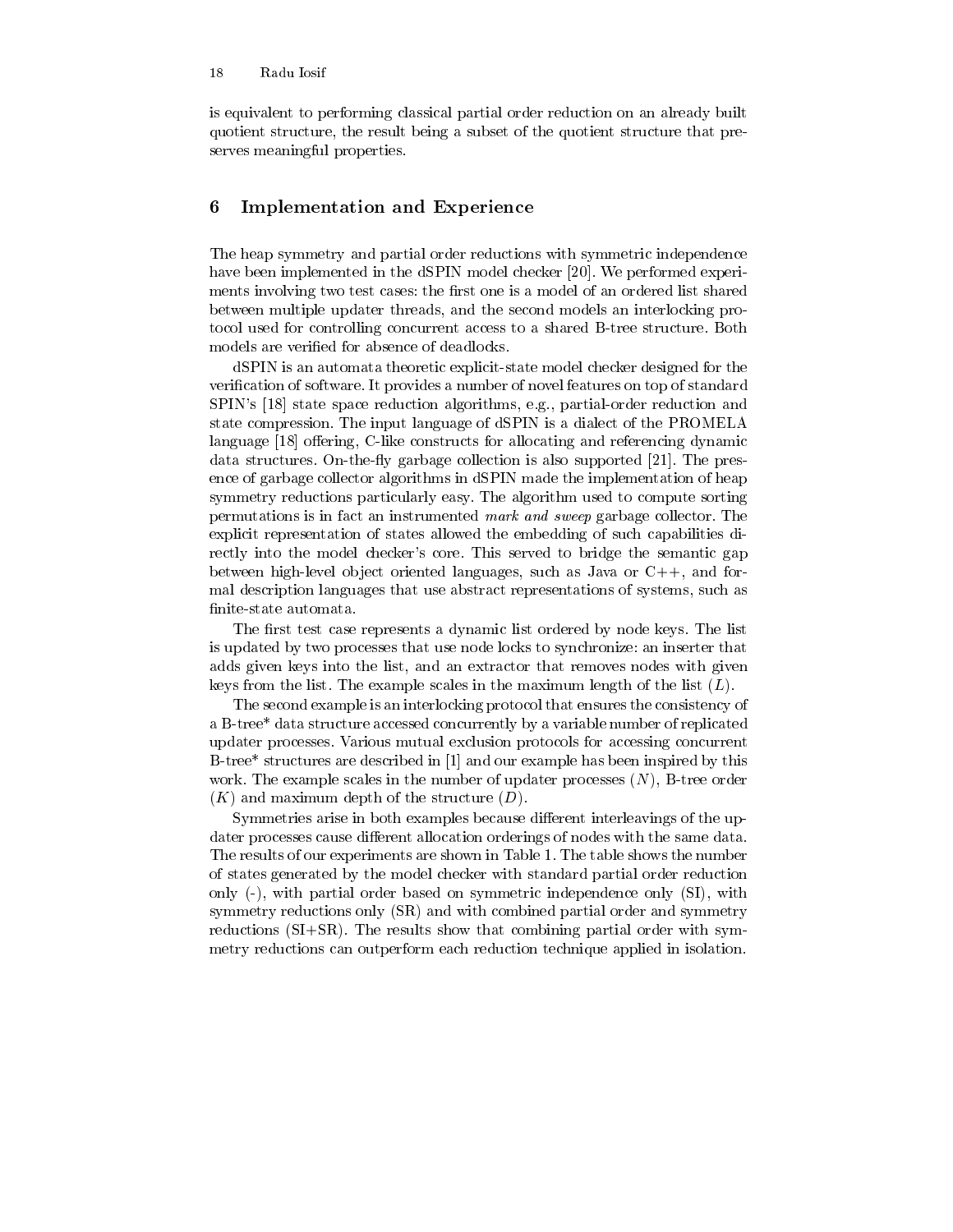is equivalent to performing classical partial order reduction on an already built quotient structure, the result being a subset of the quotient structure that preserves meaningful properties.

#### 6Implementation and Experience

The heap symmetry and partial order reductions with symmetric independence have been implemented in the dSPIN model checker [20]. We performed experiments involving two test cases: the first one is a model of an ordered list shared between multiple updater threads, and the second models an interlocking protocol used for controlling concurrent access to a shared B-tree structure. Both models are veried for absence of deadlocks.

dSPIN is an automata theoretic explicit-state model checker designed for the verification of software. It provides a number of novel features on top of standard SPIN's [18] state space reduction algorithms, e.g., partial-order reduction and state compression. The input language of dSPIN is a dialect of the PROMELA language  $[18]$  offering, C-like constructs for allocating and referencing dynamic data structures. On-the-fly garbage collection is also supported [21]. The presence of garbage collector algorithms in dSPIN made the implementation of heap symmetry reductions particularly easy. The algorithm used to compute sorting permutations is in fact an instrumented mark and sweep garbage collector. The explicit representation of states allowed the embedding of such capabilities directly into the model checker's core. This served to bridge the semantic gap between high-level object oriented languages, such as Java or  $C_{++}$ , and formal description languages that use abstract representations of systems, such as nite-state automata.

The first test case represents a dynamic list ordered by node keys. The list is updated by two processes that use node locks to synchronize: an inserter that adds given keys into the list, and an extractor that removes nodes with given keys from the list. The example scales in the maximum length of the list  $(L)$ .

The second example is an interlocking protocol that ensures the consistency of a B-tree\* data structure accessed concurrently by a variable number of replicated updater processes. Various mutual exclusion protocols for accessing concurrent B-tree\* structures are described in [1] and our example has been inspired by this work. The example scales in the number of updater processes  $(N)$ , B-tree order  $(K)$  and maximum depth of the structure  $(D)$ .

Symmetries arise in both examples because different interleavings of the updater processes cause different allocation orderings of nodes with the same data. The results of our experiments are shown in Table 1. The table shows the number of states generated by the model checker with standard partial order reduction only  $(-)$ , with partial order based on symmetric independence only  $(SI)$ , with symmetry reductions only (SR) and with combined partial order and symmetry reductions (SI+SR). The results show that combining partial order with symmetry reductions can outperform each reduction technique applied in isolation.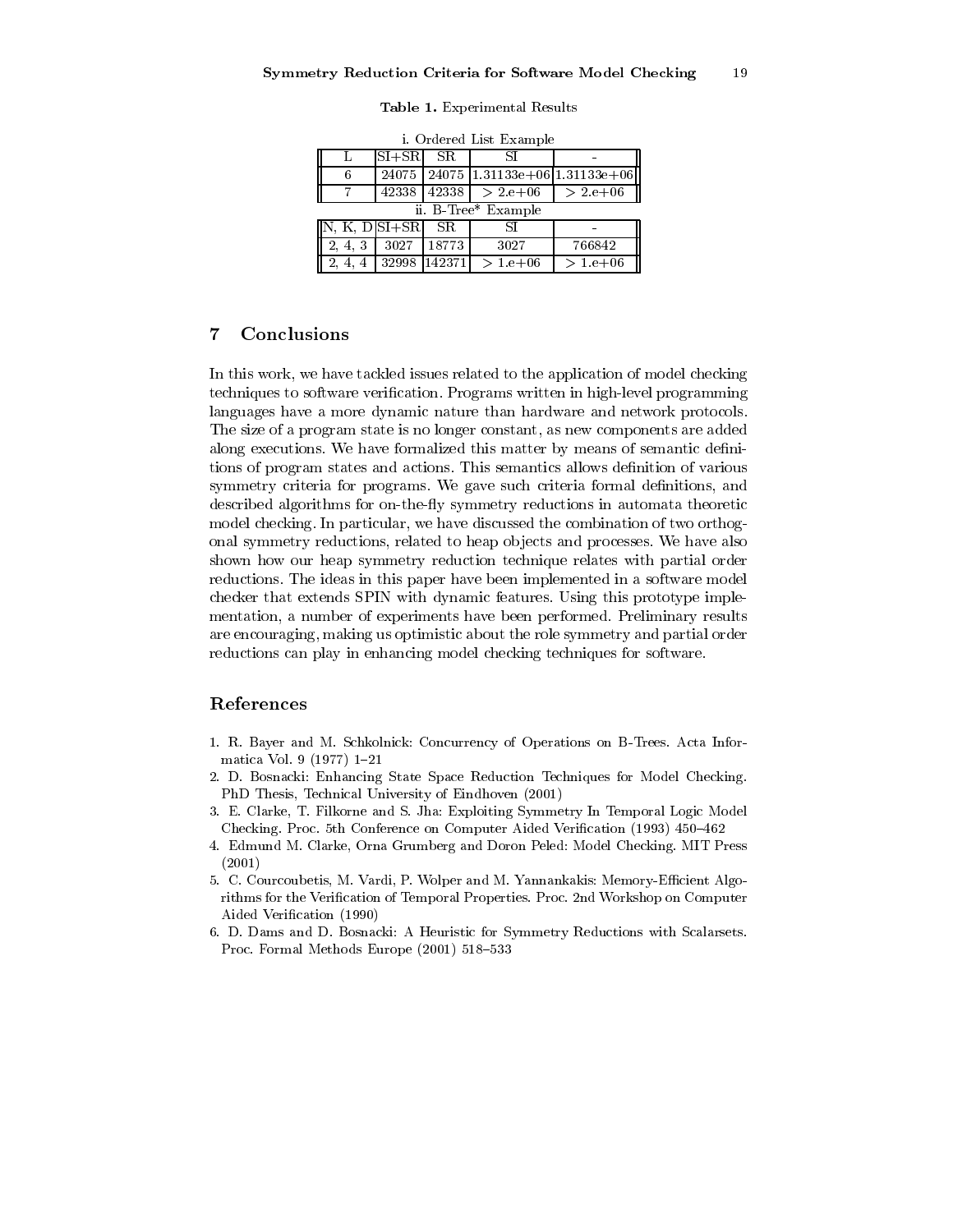Table 1. Experimental Results Table 1. Experimental Results and Results and Results and Results and Results and Results and Results and Results and

| 1. Ordered List Example                               |        |        |               |                                  |
|-------------------------------------------------------|--------|--------|---------------|----------------------------------|
|                                                       | lSI+SR | SR.    | SI            |                                  |
| 6                                                     | 24075  |        |               | $24075$  1.31133e+06 1.31133e+06 |
|                                                       | 42338  | 42338  | $> 2.0 + 06$  | $> 2.0 + 06$                     |
| ii. B-Tree* Example                                   |        |        |               |                                  |
| $\parallel$ N, K, D $\parallel$ SI $+$ SR $\parallel$ |        | – SR   | SI            |                                  |
| 3                                                     | 3027   | 18773  | 3027          | 766842                           |
|                                                       | 32998  | 142371 | $> 1. e + 06$ | $> 1.0 + 06$                     |

 $\overline{1}$  Ordered Liet  $\overline{F}$ 

#### 7Conclusions

In this work, we have tackled issues related to the application of model checking techniques to software verification. Programs written in high-level programming languages have a more dynamic nature than hardware and network protocols. The size of a program state is no longer constant, as new components are added along executions. We have formalized this matter by means of semantic definitions of program states and actions. This semantics allows definition of various symmetry criteria for programs. We gave such criteria formal definitions, and described algorithms for on-they symmetry reductions in automata theoretic model checking. In particular, we have discussed the combination of two orthogonal symmetry reductions, related to heap ob jects and processes. We have also shown how our heap symmetry reduction technique relates with partial order reductions. The ideas in this paper have been implemented in a software model checker that extends SPIN with dynamic features. Using this prototype implementation, a number of experiments have been performed. Preliminary results are encouraging, making us optimistic about the role symmetry and partial order reductions can play in enhancing model checking techniques for software.

- 1. R. Bayer and M. Schkolnick: Concurrency of Operations on B-Trees. Acta Informatica Vol. 9 (1977) 1-21
- 2. D. Bosnacki: Enhancing State Space Reduction Techniques for Model Checking. PhD Thesis, Technical University of Eindhoven (2001)
- 3. E. Clarke, T. Filkorne and S. Jha: Exploiting Symmetry In Temporal Logic Model Checking. Proc. 5th Conference on Computer Aided Verification (1993) 450-462
- 4. Edmund M. Clarke, Orna Grumberg and Doron Peled: Model Checking. MIT Press (2001)
- 5. C. Courcoubetis, M. Vardi, P. Wolper and M. Yannankakis: Memory-Efficient Algorithms for the Verication of Temporal Properties. Proc. 2nd Workshop on Computer Aided Verification (1990)
- 6. D. Dams and D. Bosnacki: A Heuristic for Symmetry Reductions with Scalarsets. Proc. Formal Methods Europe (2001) 518-533